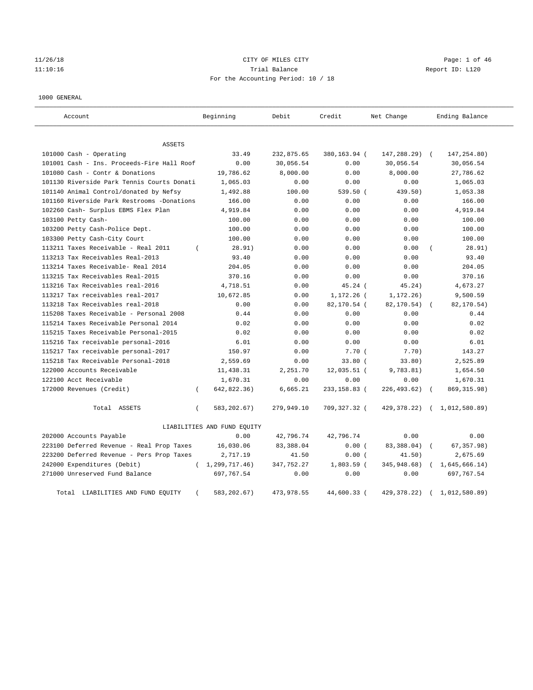## 11/26/18 CITY OF MILES CITY Page: 1 of 46 11:10:16 Trial Balance Report ID: L120 For the Accounting Period: 10 / 18

#### 1000 GENERAL

| Account                                    | Beginning                   | Debit      | Credit       | Net Change    | Ending Balance |
|--------------------------------------------|-----------------------------|------------|--------------|---------------|----------------|
| ASSETS                                     |                             |            |              |               |                |
| 101000 Cash - Operating                    | 33.49                       | 232,875.65 | 380,163.94 ( | 147,288.29)   | 147, 254.80)   |
| 101001 Cash - Ins. Proceeds-Fire Hall Roof | 0.00                        | 30,056.54  | 0.00         | 30,056.54     | 30,056.54      |
| 101080 Cash - Contr & Donations            | 19,786.62                   | 8,000.00   | 0.00         | 8,000.00      | 27,786.62      |
| 101130 Riverside Park Tennis Courts Donati | 1,065.03                    | 0.00       | 0.00         | 0.00          | 1,065.03       |
| 101140 Animal Control/donated by Nefsy     | 1,492.88                    | 100.00     | 539.50 (     | 439.50)       | 1,053.38       |
| 101160 Riverside Park Restrooms -Donations | 166.00                      | 0.00       | 0.00         | 0.00          | 166.00         |
| 102260 Cash- Surplus EBMS Flex Plan        | 4,919.84                    | 0.00       | 0.00         | 0.00          | 4,919.84       |
| 103100 Petty Cash-                         | 100.00                      | 0.00       | 0.00         | 0.00          | 100.00         |
| 103200 Petty Cash-Police Dept.             | 100.00                      | 0.00       | 0.00         | 0.00          | 100.00         |
| 103300 Petty Cash-City Court               | 100.00                      | 0.00       | 0.00         | 0.00          | 100.00         |
| 113211 Taxes Receivable - Real 2011        | 28.91)<br>$\left($          | 0.00       | 0.00         | 0.00          | 28.91)         |
| 113213 Tax Receivables Real-2013           | 93.40                       | 0.00       | 0.00         | 0.00          | 93.40          |
| 113214 Taxes Receivable- Real 2014         | 204.05                      | 0.00       | 0.00         | 0.00          | 204.05         |
| 113215 Tax Receivables Real-2015           | 370.16                      | 0.00       | 0.00         | 0.00          | 370.16         |
| 113216 Tax Receivables real-2016           | 4,718.51                    | 0.00       | 45.24(       | 45.24)        | 4,673.27       |
| 113217 Tax receivables real-2017           | 10,672.85                   | 0.00       | 1,172.26 (   | 1, 172.26)    | 9,500.59       |
| 113218 Tax Receivables real-2018           | 0.00                        | 0.00       | 82,170.54 (  | 82,170.54)    | 82,170.54)     |
| 115208 Taxes Receivable - Personal 2008    | 0.44                        | 0.00       | 0.00         | 0.00          | 0.44           |
| 115214 Taxes Receivable Personal 2014      | 0.02                        | 0.00       | 0.00         | 0.00          | 0.02           |
| 115215 Taxes Receivable Personal-2015      | 0.02                        | 0.00       | 0.00         | 0.00          | 0.02           |
| 115216 Tax receivable personal-2016        | 6.01                        | 0.00       | 0.00         | 0.00          | 6.01           |
| 115217 Tax receivable personal-2017        | 150.97                      | 0.00       | 7.70(        | 7.70)         | 143.27         |
| 115218 Tax Receivable Personal-2018        | 2,559.69                    | 0.00       | $33.80$ (    | 33.80)        | 2,525.89       |
| 122000 Accounts Receivable                 | 11,438.31                   | 2,251.70   | 12,035.51 (  | 9,783.81)     | 1,654.50       |
| 122100 Acct Receivable                     | 1,670.31                    | 0.00       | 0.00         | 0.00          | 1,670.31       |
| 172000 Revenues (Credit)                   | 642,822.36)<br>$\left($     | 6,665.21   | 233,158.83 ( | 226,493.62)   | 869, 315.98)   |
| Total ASSETS                               | 583,202.67)<br>$\left($     | 279,949.10 | 709,327.32 ( | 429,378.22)   | (1,012,580.89) |
|                                            | LIABILITIES AND FUND EQUITY |            |              |               |                |
| 202000 Accounts Payable                    | 0.00                        | 42,796.74  | 42,796.74    | 0.00          | 0.00           |
| 223100 Deferred Revenue - Real Prop Taxes  | 16,030.06                   | 83,388.04  | 0.00(        | 83,388.04)    | 67, 357.98)    |
| 223200 Deferred Revenue - Pers Prop Taxes  | 2,717.19                    | 41.50      | 0.00(        | 41.50)        | 2,675.69       |
| 242000 Expenditures (Debit)                | (1, 299, 717.46)            | 347,752.27 | 1,803.59 (   | 345,948.68)   | 1,645,666.14)  |
| 271000 Unreserved Fund Balance             | 697,767.54                  | 0.00       | 0.00         | 0.00          | 697,767.54     |
| Total<br>LIABILITIES AND FUND EQUITY       | 583, 202.67)                | 473,978.55 | 44,600.33 (  | 429, 378. 22) | 1,012,580.89)  |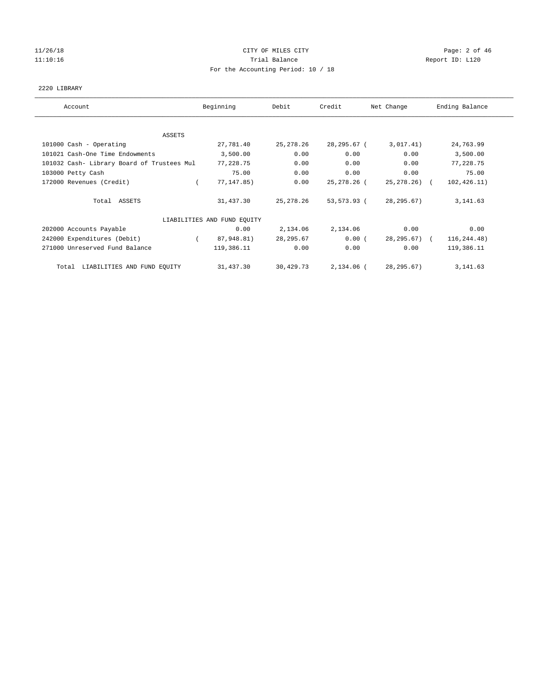# 11/26/18 Page: 2 of 46 11:10:16 Trial Balance Report ID: L120 For the Accounting Period: 10 / 18

## 2220 LIBRARY

| Account                                    | Beginning                   | Debit       | Credit      | Net Change   | Ending Balance |
|--------------------------------------------|-----------------------------|-------------|-------------|--------------|----------------|
|                                            |                             |             |             |              |                |
| ASSETS                                     |                             |             |             |              |                |
| 101000 Cash - Operating                    | 27,781.40                   | 25, 278. 26 | 28,295.67 ( | 3,017.41)    | 24,763.99      |
| 101021 Cash-One Time Endowments            | 3,500.00                    | 0.00        | 0.00        | 0.00         | 3,500.00       |
| 101032 Cash- Library Board of Trustees Mul | 77,228.75                   | 0.00        | 0.00        | 0.00         | 77,228.75      |
| 103000 Petty Cash                          | 75.00                       | 0.00        | 0.00        | 0.00         | 75.00          |
| 172000 Revenues (Credit)                   | 77, 147.85)                 | 0.00        | 25,278.26 ( | 25,278.26) ( | 102, 426.11)   |
| Total ASSETS                               | 31,437.30                   | 25, 278. 26 | 53,573.93 ( | 28, 295.67)  | 3, 141.63      |
|                                            | LIABILITIES AND FUND EQUITY |             |             |              |                |
| 202000 Accounts Payable                    | 0.00                        | 2,134.06    | 2,134.06    | 0.00         | 0.00           |
| 242000 Expenditures (Debit)                | 87,948.81)                  | 28, 295.67  | 0.00(       | 28,295.67) ( | 116,244.48)    |
| 271000 Unreserved Fund Balance             | 119,386.11                  | 0.00        | 0.00        | 0.00         | 119,386.11     |
| Total LIABILITIES AND FUND EQUITY          | 31,437.30                   | 30,429.73   | 2,134.06 (  | 28, 295.67)  | 3, 141.63      |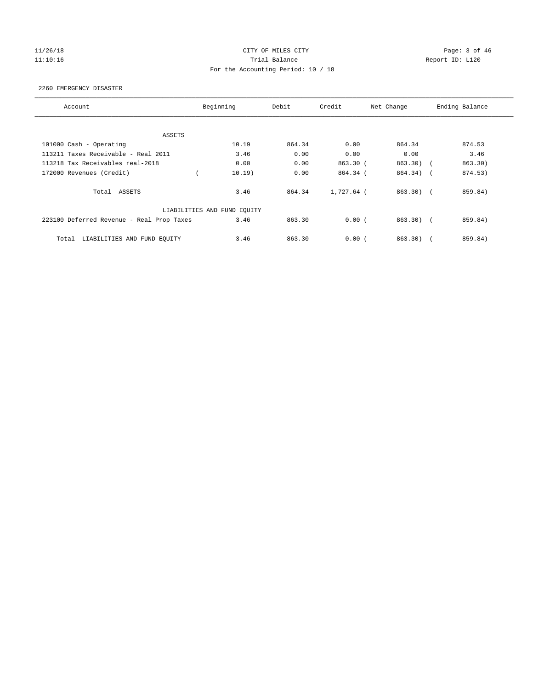# 11/26/18 Page: 3 of 46 11:10:16 Trial Balance Report ID: L120 For the Accounting Period: 10 / 18

## 2260 EMERGENCY DISASTER

| Account                                   | Beginning | Debit  | Credit     | Net Change | Ending Balance |  |  |  |  |
|-------------------------------------------|-----------|--------|------------|------------|----------------|--|--|--|--|
|                                           |           |        |            |            |                |  |  |  |  |
| ASSETS                                    |           |        |            |            |                |  |  |  |  |
| 101000 Cash - Operating                   | 10.19     | 864.34 | 0.00       | 864.34     | 874.53         |  |  |  |  |
| 113211 Taxes Receivable - Real 2011       | 3.46      | 0.00   | 0.00       | 0.00       | 3.46           |  |  |  |  |
| 113218 Tax Receivables real-2018          | 0.00      | 0.00   | 863.30 (   | 863.30) (  | 863.30)        |  |  |  |  |
| 172000 Revenues (Credit)                  | 10.19)    | 0.00   | 864.34 (   | 864.34) (  | 874.53)        |  |  |  |  |
| Total ASSETS                              | 3.46      | 864.34 | 1,727.64 ( | 863.30) (  | 859.84)        |  |  |  |  |
| LIABILITIES AND FUND EQUITY               |           |        |            |            |                |  |  |  |  |
| 223100 Deferred Revenue - Real Prop Taxes | 3.46      | 863.30 | 0.00(      | $863.30$ ( | 859.84)        |  |  |  |  |
| Total<br>LIABILITIES AND FUND EQUITY      | 3.46      | 863.30 | 0.00(      | 863.30     | 859.84)        |  |  |  |  |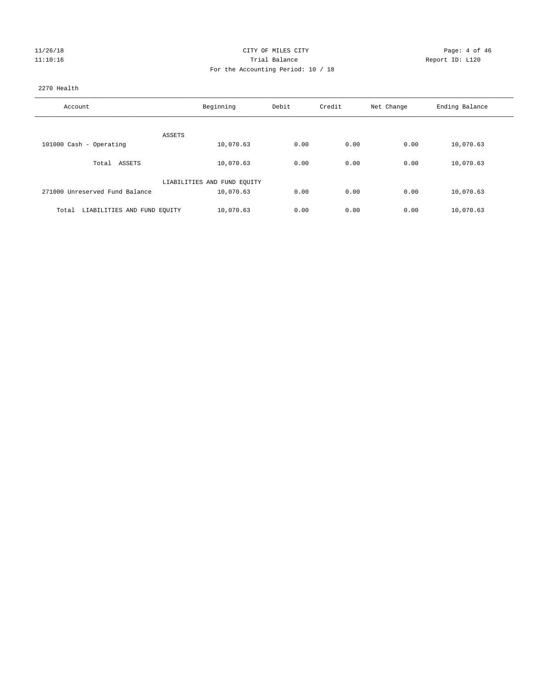| 11/26/18 |  |
|----------|--|
| 11:10:16 |  |

## CITY OF MILES CITY CITY CITY Page: 4 of 46 Partial Balance and Communications of the Report ID: L120 For the Accounting Period: 10 / 18

## 2270 Health

| Account                              | Beginning                   | Debit | Credit | Net Change | Ending Balance |
|--------------------------------------|-----------------------------|-------|--------|------------|----------------|
|                                      |                             |       |        |            |                |
| ASSETS                               |                             |       |        |            |                |
| 101000 Cash - Operating              | 10,070.63                   | 0.00  | 0.00   | 0.00       | 10,070.63      |
| ASSETS<br>Total                      | 10,070.63                   | 0.00  | 0.00   | 0.00       | 10,070.63      |
|                                      | LIABILITIES AND FUND EQUITY |       |        |            |                |
| 271000 Unreserved Fund Balance       | 10,070.63                   | 0.00  | 0.00   | 0.00       | 10,070.63      |
| LIABILITIES AND FUND EQUITY<br>Total | 10,070.63                   | 0.00  | 0.00   | 0.00       | 10,070.63      |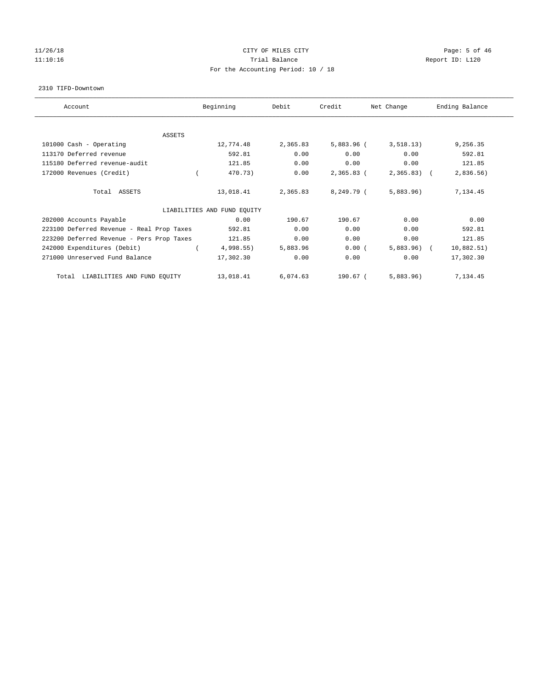## 11/26/18 Page: 5 of 46 11:10:16 Trial Balance Report ID: L120 For the Accounting Period: 10 / 18

#### 2310 TIFD-Downtown

| Account                                   | Beginning |                             | Debit    | Credit       | Net Change   | Ending Balance |  |
|-------------------------------------------|-----------|-----------------------------|----------|--------------|--------------|----------------|--|
| ASSETS                                    |           |                             |          |              |              |                |  |
| 101000 Cash - Operating                   |           | 12,774.48                   | 2,365.83 | $5,883.96$ ( | 3,518.13)    | 9,256.35       |  |
| 113170 Deferred revenue                   |           | 592.81                      | 0.00     | 0.00         | 0.00         | 592.81         |  |
| 115180 Deferred revenue-audit             |           | 121.85                      | 0.00     | 0.00         | 0.00         | 121.85         |  |
| 172000 Revenues (Credit)                  |           | 470.73)                     | 0.00     | $2,365.83$ ( | $2,365.83$ ( | 2,836.56)      |  |
| Total ASSETS                              |           | 13,018.41                   | 2,365.83 | 8,249.79 (   | 5,883.96     | 7,134.45       |  |
|                                           |           | LIABILITIES AND FUND EQUITY |          |              |              |                |  |
| 202000 Accounts Payable                   |           | 0.00                        | 190.67   | 190.67       | 0.00         | 0.00           |  |
| 223100 Deferred Revenue - Real Prop Taxes |           | 592.81                      | 0.00     | 0.00         | 0.00         | 592.81         |  |
| 223200 Deferred Revenue - Pers Prop Taxes |           | 121.85                      | 0.00     | 0.00         | 0.00         | 121.85         |  |
| 242000 Expenditures (Debit)               |           | $4,998.55$ )                | 5,883.96 | 0.00(        | $5,883.96$ ( | 10,882.51)     |  |
| 271000 Unreserved Fund Balance            |           | 17,302.30                   | 0.00     | 0.00         | 0.00         | 17,302.30      |  |
| LIABILITIES AND FUND EQUITY<br>Total      |           | 13,018.41                   | 6,074.63 | 190.67 (     | 5,883.96     | 7,134.45       |  |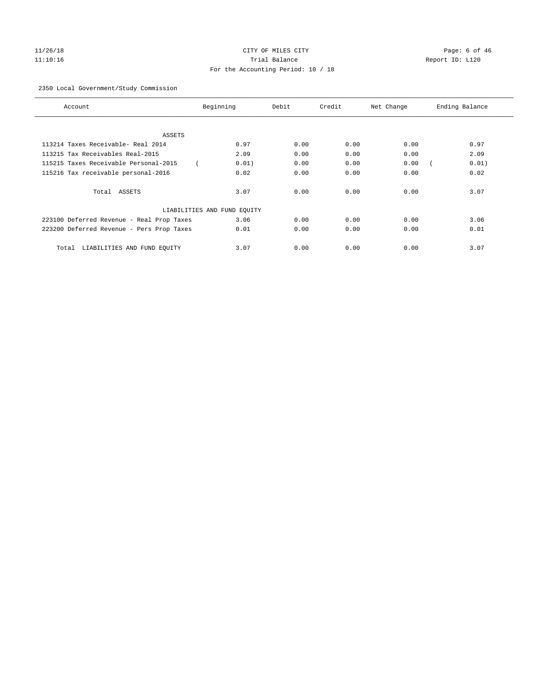# 11/26/18 Page: 6 of 46 11:10:16 Trial Balance Report ID: L120 For the Accounting Period: 10 / 18

## 2350 Local Government/Study Commission

| Account                                   | Beginning                   | Debit | Credit | Net Change | Ending Balance |
|-------------------------------------------|-----------------------------|-------|--------|------------|----------------|
|                                           |                             |       |        |            |                |
| <b>ASSETS</b>                             |                             |       |        |            |                |
| 113214 Taxes Receivable- Real 2014        | 0.97                        | 0.00  | 0.00   | 0.00       | 0.97           |
| 113215 Tax Receivables Real-2015          | 2.09                        | 0.00  | 0.00   | 0.00       | 2.09           |
| 115215 Taxes Receivable Personal-2015     | 0.01)                       | 0.00  | 0.00   | 0.00       | 0.01)          |
| 115216 Tax receivable personal-2016       | 0.02                        | 0.00  | 0.00   | 0.00       | 0.02           |
| Total ASSETS                              | 3.07                        | 0.00  | 0.00   | 0.00       | 3.07           |
|                                           | LIABILITIES AND FUND EQUITY |       |        |            |                |
| 223100 Deferred Revenue - Real Prop Taxes | 3.06                        | 0.00  | 0.00   | 0.00       | 3.06           |
| 223200 Deferred Revenue - Pers Prop Taxes | 0.01                        | 0.00  | 0.00   | 0.00       | 0.01           |
| LIABILITIES AND FUND EQUITY<br>Total      | 3.07                        | 0.00  | 0.00   | 0.00       | 3.07           |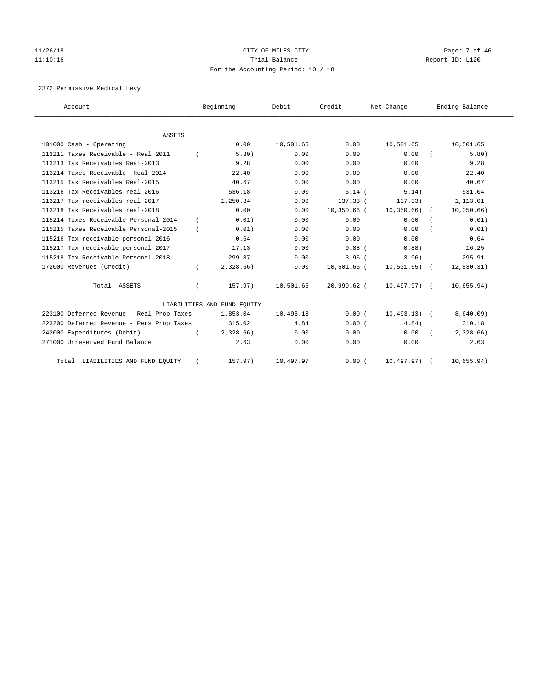# 11/26/18 Page: 7 of 46 11:10:16 Trial Balance Report ID: L120 For the Accounting Period: 10 / 18

2372 Permissive Medical Levy

| Account                                   | Beginning                   | Debit     | Credit        | Net Change     | Ending Balance |
|-------------------------------------------|-----------------------------|-----------|---------------|----------------|----------------|
| <b>ASSETS</b>                             |                             |           |               |                |                |
| 101000 Cash - Operating                   | 0.00                        | 10,501.65 | 0.00          | 10,501.65      | 10,501.65      |
| 113211 Taxes Receivable - Real 2011       | 5.80)                       | 0.00      | 0.00          | 0.00           | 5.80)          |
| 113213 Tax Receivables Real-2013          | 9.28                        | 0.00      | 0.00          | 0.00           | 9.28           |
| 113214 Taxes Receivable- Real 2014        | 22.40                       | 0.00      | 0.00          | 0.00           | 22.40          |
| 113215 Tax Receivables Real-2015          | 40.67                       | 0.00      | 0.00          | 0.00           | 40.67          |
| 113216 Tax Receivables real-2016          | 536.18                      | 0.00      | 5.14(         | 5.14)          | 531.04         |
| 113217 Tax receivables real-2017          | 1,250.34                    | 0.00      | $137.33$ (    | 137.33)        | 1,113.01       |
| 113218 Tax Receivables real-2018          | 0.00                        | 0.00      | $10,350.66$ ( | 10, 350.66)    | 10, 350.66)    |
| 115214 Taxes Receivable Personal 2014     | 0.01)                       | 0.00      | 0.00          | 0.00           | 0.01)          |
| 115215 Taxes Receivable Personal-2015     | 0.01)                       | 0.00      | 0.00          | 0.00           | 0.01)          |
| 115216 Tax receivable personal-2016       | 0.64                        | 0.00      | 0.00          | 0.00           | 0.64           |
| 115217 Tax receivable personal-2017       | 17.13                       | 0.00      | $0.88$ (      | 0.88           | 16.25          |
| 115218 Tax Receivable Personal-2018       | 299.87                      | 0.00      | $3.96$ (      | 3.96)          | 295.91         |
| 172000 Revenues (Credit)                  | 2,328.66)                   | 0.00      | $10,501.65$ ( | $10,501.65$ (  | 12,830.31)     |
| Total ASSETS                              | 157.97)                     | 10,501.65 | 20,999.62 (   | $10,497.97)$ ( | 10,655.94)     |
|                                           | LIABILITIES AND FUND EQUITY |           |               |                |                |
| 223100 Deferred Revenue - Real Prop Taxes | 1,853.04                    | 10,493.13 | 0.00(         | $10,493.13)$ ( | 8,640.09)      |
| 223200 Deferred Revenue - Pers Prop Taxes | 315.02                      | 4.84      | 0.00(         | 4.84)          | 310.18         |
| 242000 Expenditures (Debit)               | 2,328.66                    | 0.00      | 0.00          | 0.00           | 2,328.66       |
| 271000 Unreserved Fund Balance            | 2.63                        | 0.00      | 0.00          | 0.00           | 2.63           |
| Total LIABILITIES AND FUND EQUITY         | 157.97)                     | 10,497.97 | 0.00(         | $10,497.97)$ ( | 10,655.94)     |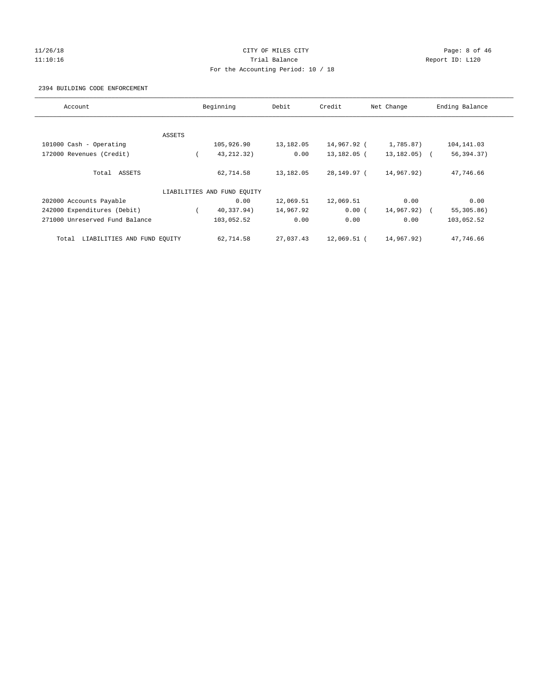## 11/26/18 CITY OF MILES CITY Page: 8 of 46 11:10:16 Trial Balance Report ID: L120 For the Accounting Period: 10 / 18

## 2394 BUILDING CODE ENFORCEMENT

| Account                              |        | Beginning<br>Debit          |           | Credit      | Net Change       | Ending Balance |
|--------------------------------------|--------|-----------------------------|-----------|-------------|------------------|----------------|
|                                      |        |                             |           |             |                  |                |
|                                      | ASSETS |                             |           |             |                  |                |
| 101000 Cash - Operating              |        | 105,926.90                  | 13,182.05 | 14,967.92 ( | 1,785.87)        | 104,141.03     |
| 172000 Revenues (Credit)             |        | 43, 212, 32)                | 0.00      | 13,182.05 ( | $13, 182, 05)$ ( | 56,394.37)     |
| Total ASSETS                         |        | 62,714.58                   | 13,182.05 | 28,149.97 ( | 14,967.92)       | 47,746.66      |
|                                      |        | LIABILITIES AND FUND EQUITY |           |             |                  |                |
| 202000 Accounts Payable              |        | 0.00                        | 12,069.51 | 12,069.51   | 0.00             | 0.00           |
| 242000 Expenditures (Debit)          |        | 40,337.94)                  | 14,967.92 | 0.00(       | 14,967.92) (     | 55, 305.86)    |
| 271000 Unreserved Fund Balance       |        | 103,052.52                  | 0.00      | 0.00        | 0.00             | 103,052.52     |
| LIABILITIES AND FUND EQUITY<br>Total |        | 62,714.58                   | 27,037.43 | 12,069.51 ( | 14,967.92)       | 47,746.66      |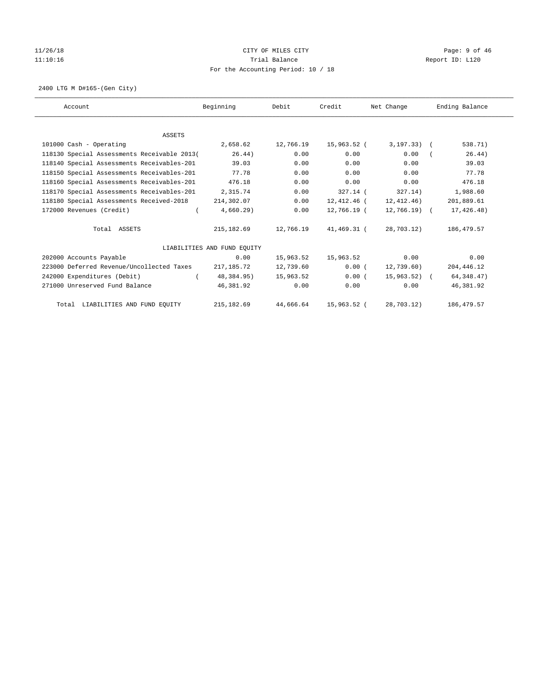# 11/26/18 Page: 9 of 46 11:10:16 Trial Balance Report ID: L120 For the Accounting Period: 10 / 18

2400 LTG M D#165-(Gen City)

| Account                                     | Beginning                   | Debit     | Credit      | Net Change     | Ending Balance |
|---------------------------------------------|-----------------------------|-----------|-------------|----------------|----------------|
|                                             |                             |           |             |                |                |
| <b>ASSETS</b>                               |                             |           |             |                |                |
| 101000 Cash - Operating                     | 2,658.62                    | 12,766.19 | 15,963.52 ( | $3,197.33)$ (  | 538.71)        |
| 118130 Special Assessments Receivable 2013( | 26.44)                      | 0.00      | 0.00        | 0.00           | 26.44)         |
| 118140 Special Assessments Receivables-201  | 39.03                       | 0.00      | 0.00        | 0.00           | 39.03          |
| 118150 Special Assessments Receivables-201  | 77.78                       | 0.00      | 0.00        | 0.00           | 77.78          |
| 118160 Special Assessments Receivables-201  | 476.18                      | 0.00      | 0.00        | 0.00           | 476.18         |
| 118170 Special Assessments Receivables-201  | 2,315.74                    | 0.00      | $327.14$ (  | 327.14)        | 1,988.60       |
| 118180 Special Assessments Received-2018    | 214,302.07                  | 0.00      | 12,412.46 ( | 12,412.46)     | 201,889.61     |
| 172000 Revenues (Credit)<br>$\left($        | 4,660.29)                   | 0.00      | 12,766.19 ( | 12,766.19) (   | 17,426.48)     |
| Total ASSETS                                | 215, 182.69                 | 12,766.19 | 41,469.31 ( | 28,703.12)     | 186, 479.57    |
|                                             | LIABILITIES AND FUND EQUITY |           |             |                |                |
| 202000 Accounts Payable                     | 0.00                        | 15,963.52 | 15,963.52   | 0.00           | 0.00           |
| 223000 Deferred Revenue/Uncollected Taxes   | 217,185.72                  | 12,739.60 | 0.00(       | 12,739.60)     | 204, 446.12    |
| 242000 Expenditures (Debit)                 | 48,384.95)                  | 15,963.52 | 0.00(       | $15,963.52)$ ( | 64, 348.47)    |
| 271000 Unreserved Fund Balance              | 46,381.92                   | 0.00      | 0.00        | 0.00           | 46,381.92      |
| Total LIABILITIES AND FUND EQUITY           | 215, 182.69                 | 44,666.64 | 15,963.52 ( | 28,703.12)     | 186, 479.57    |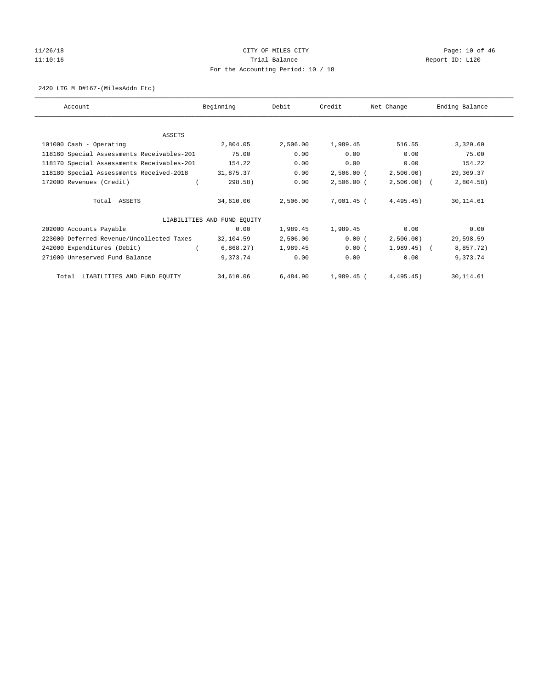# 11/26/18 Page: 10 of 46 11:10:16 Channel Report ID: L120 For the Accounting Period: 10 / 18

### 2420 LTG M D#167-(MilesAddn Etc)

| Account                                    | Beginning                   | Debit    | Credit       | Net Change   | Ending Balance |
|--------------------------------------------|-----------------------------|----------|--------------|--------------|----------------|
|                                            |                             |          |              |              |                |
| ASSETS                                     | 2,804.05                    | 2,506.00 | 1,989.45     | 516.55       | 3,320.60       |
| 101000 Cash - Operating                    |                             |          |              |              |                |
| 118160 Special Assessments Receivables-201 | 75.00                       | 0.00     | 0.00         | 0.00         | 75.00          |
| 118170 Special Assessments Receivables-201 | 154.22                      | 0.00     | 0.00         | 0.00         | 154.22         |
| 118180 Special Assessments Received-2018   | 31,875.37                   | 0.00     | $2,506.00$ ( | 2,506.00)    | 29,369.37      |
| 172000 Revenues (Credit)                   | 298.58)                     | 0.00     | $2,506.00$ ( | $2,506.00$ ( | 2,804.58)      |
| Total ASSETS                               | 34,610.06                   | 2,506.00 | 7,001.45 (   | 4,495.45)    | 30,114.61      |
|                                            | LIABILITIES AND FUND EQUITY |          |              |              |                |
| 202000 Accounts Payable                    | 0.00                        | 1,989.45 | 1,989.45     | 0.00         | 0.00           |
| 223000 Deferred Revenue/Uncollected Taxes  | 32,104.59                   | 2,506.00 | 0.00(        | 2,506.00     | 29,598.59      |
| 242000 Expenditures (Debit)                | 6,868.27)                   | 1,989.45 | 0.00(        | $1,989.45$ ( | 8,857.72)      |
| 271000 Unreserved Fund Balance             | 9,373.74                    | 0.00     | 0.00         | 0.00         | 9,373.74       |
| Total LIABILITIES AND FUND EQUITY          | 34,610.06                   | 6,484.90 | 1,989.45 (   | 4,495.45)    | 30,114.61      |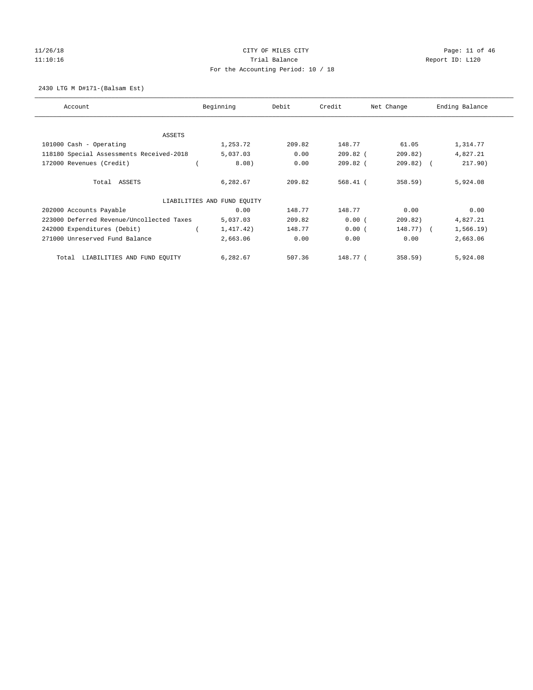# 11/26/18 Page: 11 of 46 11:10:16 Channel Report ID: L120 For the Accounting Period: 10 / 18

2430 LTG M D#171-(Balsam Est)

| Account                                   | Beginning                   | Debit  | Credit     | Net Change   | Ending Balance |
|-------------------------------------------|-----------------------------|--------|------------|--------------|----------------|
|                                           |                             |        |            |              |                |
| ASSETS                                    |                             |        |            |              |                |
| 101000 Cash - Operating                   | 1,253.72                    | 209.82 | 148.77     | 61.05        | 1,314.77       |
| 118180 Special Assessments Received-2018  | 5,037.03                    | 0.00   | $209.82$ ( | 209.82)      | 4,827.21       |
| 172000 Revenues (Credit)                  | 8.08)                       | 0.00   | $209.82$ ( | $209.82$ ) ( | 217.90)        |
| Total ASSETS                              | 6,282.67                    | 209.82 | $568.41$ ( | 358.59)      | 5,924.08       |
|                                           | LIABILITIES AND FUND EQUITY |        |            |              |                |
| 202000 Accounts Payable                   | 0.00                        | 148.77 | 148.77     | 0.00         | 0.00           |
| 223000 Deferred Revenue/Uncollected Taxes | 5,037.03                    | 209.82 | 0.00(      | 209.82)      | 4,827.21       |
| 242000 Expenditures (Debit)               | 1,417.42)                   | 148.77 | 0.00(      | 148.77) (    | 1,566.19)      |
| 271000 Unreserved Fund Balance            | 2,663.06                    | 0.00   | 0.00       | 0.00         | 2,663.06       |
| LIABILITIES AND FUND EQUITY<br>Total      | 6,282.67                    | 507.36 | 148.77 (   | 358.59)      | 5,924.08       |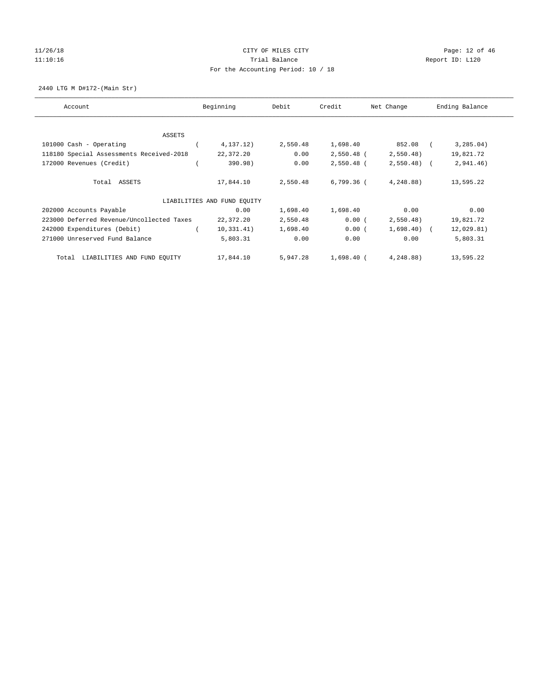# 11/26/18 Page: 12 of 46 11:10:16 Channel Report ID: L120 For the Accounting Period: 10 / 18

2440 LTG M D#172-(Main Str)

| Account                                   | Beginning                   | Debit    | Credit       | Net Change   | Ending Balance |
|-------------------------------------------|-----------------------------|----------|--------------|--------------|----------------|
|                                           |                             |          |              |              |                |
| ASSETS                                    |                             |          |              |              |                |
| 101000 Cash - Operating                   | 4, 137. 12)                 | 2,550.48 | 1,698.40     | 852.08       | 3, 285.04)     |
| 118180 Special Assessments Received-2018  | 22,372.20                   | 0.00     | $2,550.48$ ( | 2,550.48)    | 19,821.72      |
| 172000 Revenues (Credit)                  | 390.98)                     | 0.00     | $2,550.48$ ( | $2,550.48$ ( | 2,941.46)      |
| Total ASSETS                              | 17,844.10                   | 2,550.48 | 6,799.36 (   | 4,248.88)    | 13,595.22      |
|                                           | LIABILITIES AND FUND EOUITY |          |              |              |                |
| 202000 Accounts Payable                   | 0.00                        | 1,698.40 | 1,698.40     | 0.00         | 0.00           |
| 223000 Deferred Revenue/Uncollected Taxes | 22,372.20                   | 2,550.48 | 0.00(        | 2,550.48)    | 19,821.72      |
| 242000 Expenditures (Debit)               | 10, 331.41)                 | 1,698.40 | 0.00(        | $1,698.40$ ( | 12,029.81)     |
| 271000 Unreserved Fund Balance            | 5,803.31                    | 0.00     | 0.00         | 0.00         | 5,803.31       |
| LIABILITIES AND FUND EQUITY<br>Total      | 17,844.10                   | 5,947.28 | $1,698.40$ ( | 4,248.88)    | 13,595.22      |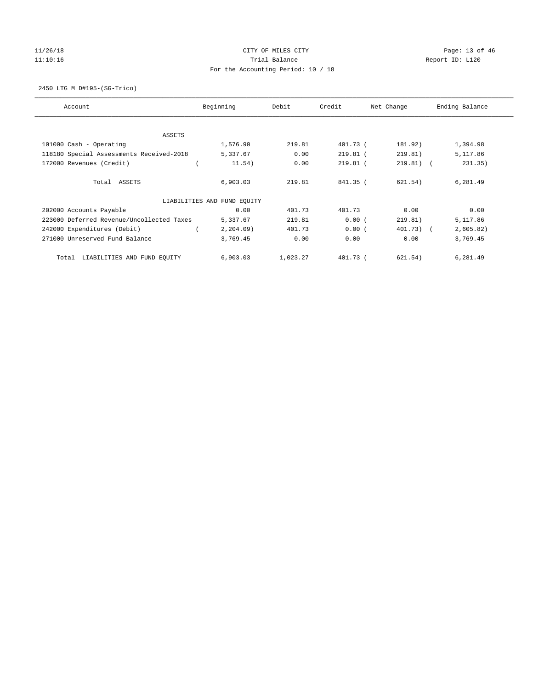# 11/26/18 Page: 13 of 46 11:10:16 Channel Report ID: L120 For the Accounting Period: 10 / 18

2450 LTG M D#195-(SG-Trico)

| Account                                   | Beginning                   | Debit    | Credit     | Net Change  | Ending Balance |
|-------------------------------------------|-----------------------------|----------|------------|-------------|----------------|
|                                           |                             |          |            |             |                |
| ASSETS                                    |                             |          |            |             |                |
| 101000 Cash - Operating                   | 1,576.90                    | 219.81   | 401.73 (   | 181.92)     | 1,394.98       |
| 118180 Special Assessments Received-2018  | 5,337.67                    | 0.00     | $219.81$ ( | 219.81)     | 5,117.86       |
| 172000 Revenues (Credit)                  | 11.54)                      | 0.00     | $219.81$ ( | $219.81)$ ( | 231.35)        |
| Total ASSETS                              | 6,903.03                    | 219.81   | $841.35$ ( | 621.54)     | 6,281.49       |
|                                           | LIABILITIES AND FUND EOUITY |          |            |             |                |
| 202000 Accounts Payable                   | 0.00                        | 401.73   | 401.73     | 0.00        | 0.00           |
| 223000 Deferred Revenue/Uncollected Taxes | 5,337.67                    | 219.81   | 0.00(      | 219.81)     | 5,117.86       |
| 242000 Expenditures (Debit)               | 2, 204.09                   | 401.73   | 0.00(      | 401.73) (   | 2,605.82)      |
| 271000 Unreserved Fund Balance            | 3,769.45                    | 0.00     | 0.00       | 0.00        | 3,769.45       |
| LIABILITIES AND FUND EQUITY<br>Total      | 6,903.03                    | 1,023.27 | $401.73$ ( | 621.54)     | 6,281.49       |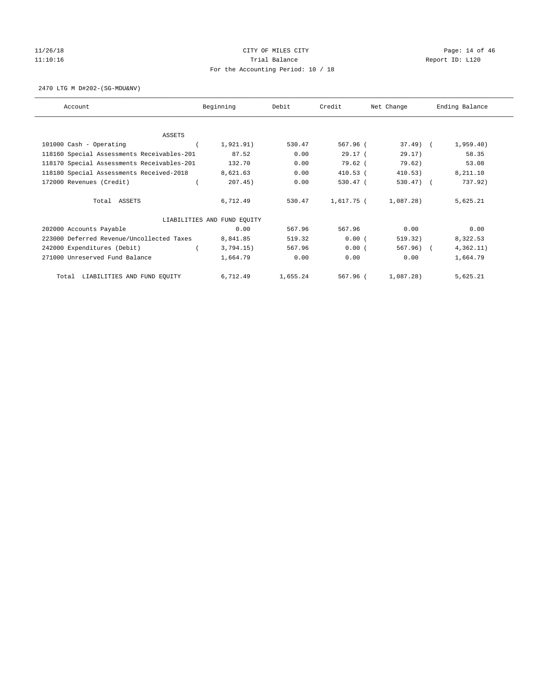# 11/26/18 Page: 14 of 46 11:10:16 Channel Report ID: L120 For the Accounting Period: 10 / 18

2470 LTG M D#202-(SG-MDU&NV)

| Account                                    | Beginning                   | Debit    | Credit     | Net Change   | Ending Balance |
|--------------------------------------------|-----------------------------|----------|------------|--------------|----------------|
| ASSETS                                     |                             |          |            |              |                |
| 101000 Cash - Operating                    | 1,921.91)                   | 530.47   | 567.96 (   | $37.49$ (    | 1,959.40)      |
| 118160 Special Assessments Receivables-201 | 87.52                       | 0.00     | 29.17(     | 29.17)       | 58.35          |
| 118170 Special Assessments Receivables-201 | 132.70                      | 0.00     | 79.62 (    | 79.62)       | 53.08          |
| 118180 Special Assessments Received-2018   | 8,621.63                    | 0.00     | $410.53$ ( | 410.53)      | 8,211.10       |
| 172000 Revenues (Credit)                   | 207.45)                     | 0.00     | 530.47 (   | $530.47$ ) ( | 737.92)        |
| Total ASSETS                               | 6,712.49                    | 530.47   | 1,617.75 ( | 1,087.28)    | 5,625.21       |
|                                            | LIABILITIES AND FUND EQUITY |          |            |              |                |
| 202000 Accounts Payable                    | 0.00                        | 567.96   | 567.96     | 0.00         | 0.00           |
| 223000 Deferred Revenue/Uncollected Taxes  | 8,841.85                    | 519.32   | 0.00(      | 519.32)      | 8,322.53       |
| 242000 Expenditures (Debit)                | 3,794.15)                   | 567.96   | 0.00(      | $567.96$ (   | 4,362.11)      |
| 271000 Unreserved Fund Balance             | 1,664.79                    | 0.00     | 0.00       | 0.00         | 1,664.79       |
| LIABILITIES AND FUND EQUITY<br>Total       | 6,712.49                    | 1,655.24 | 567.96 (   | 1,087.28)    | 5,625.21       |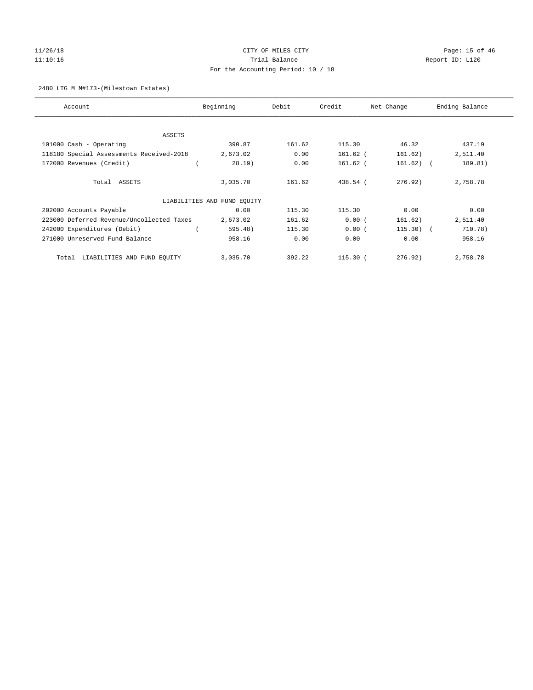# 11/26/18 Page: 15 of 46 11:10:16 Channel Report ID: L120 For the Accounting Period: 10 / 18

## 2480 LTG M M#173-(Milestown Estates)

| Account                                   | Beginning                   | Debit  | Credit     | Net Change  | Ending Balance |
|-------------------------------------------|-----------------------------|--------|------------|-------------|----------------|
|                                           |                             |        |            |             |                |
| ASSETS                                    |                             |        |            |             |                |
| 101000 Cash - Operating                   | 390.87                      | 161.62 | 115.30     | 46.32       | 437.19         |
| 118180 Special Assessments Received-2018  | 2,673.02                    | 0.00   | $161.62$ ( | 161.62)     | 2,511.40       |
| 172000 Revenues (Credit)                  | 28.19)                      | 0.00   | 161.62 (   | $161.62)$ ( | 189.81)        |
| Total ASSETS                              | 3,035.70                    | 161.62 | 438.54 (   | 276.92      | 2,758.78       |
|                                           | LIABILITIES AND FUND EQUITY |        |            |             |                |
| 202000 Accounts Payable                   | 0.00                        | 115.30 | 115.30     | 0.00        | 0.00           |
| 223000 Deferred Revenue/Uncollected Taxes | 2,673.02                    | 161.62 | 0.00(      | 161.62)     | 2,511.40       |
| 242000 Expenditures (Debit)               | 595.48)                     | 115.30 | 0.00(      | $115.30$ (  | 710.78)        |
| 271000 Unreserved Fund Balance            | 958.16                      | 0.00   | 0.00       | 0.00        | 958.16         |
| LIABILITIES AND FUND EQUITY<br>Total      | 3,035.70                    | 392.22 | $115.30$ ( | 276.92)     | 2,758.78       |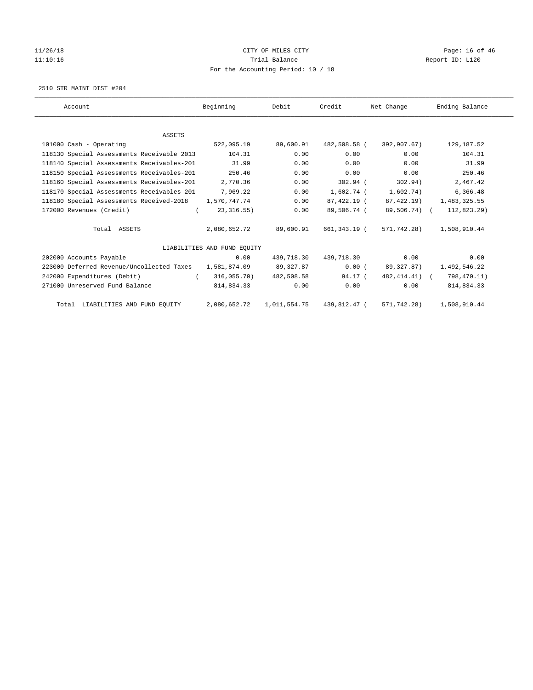# 11/26/18 Page: 16 of 46 11:10:16 Channel Report ID: L120 For the Accounting Period: 10 / 18

2510 STR MAINT DIST #204

| Account                                    | Beginning                   | Debit        | Credit       | Net Change      | Ending Balance |
|--------------------------------------------|-----------------------------|--------------|--------------|-----------------|----------------|
|                                            |                             |              |              |                 |                |
| ASSETS                                     |                             |              |              |                 |                |
| 101000 Cash - Operating                    | 522,095.19                  | 89,600.91    | 482,508.58 ( | 392,907.67)     | 129,187.52     |
| 118130 Special Assessments Receivable 2013 | 104.31                      | 0.00         | 0.00         | 0.00            | 104.31         |
| 118140 Special Assessments Receivables-201 | 31.99                       | 0.00         | 0.00         | 0.00            | 31.99          |
| 118150 Special Assessments Receivables-201 | 250.46                      | 0.00         | 0.00         | 0.00            | 250.46         |
| 118160 Special Assessments Receivables-201 | 2,770.36                    | 0.00         | $302.94$ (   | 302.94)         | 2,467.42       |
| 118170 Special Assessments Receivables-201 | 7,969.22                    | 0.00         | 1,602.74 (   | 1,602.74)       | 6,366.48       |
| 118180 Special Assessments Received-2018   | 1,570,747.74                | 0.00         | 87,422.19 (  | 87,422.19)      | 1,483,325.55   |
| 172000 Revenues (Credit)<br>$\sqrt{2}$     | 23, 316.55)                 | 0.00         | 89,506.74 (  | 89,506.74) (    | 112,823.29)    |
| Total ASSETS                               | 2,080,652.72                | 89,600.91    | 661,343.19 ( | 571,742.28)     | 1,508,910.44   |
|                                            | LIABILITIES AND FUND EQUITY |              |              |                 |                |
| 202000 Accounts Payable                    | 0.00                        | 439,718.30   | 439,718.30   | 0.00            | 0.00           |
| 223000 Deferred Revenue/Uncollected Taxes  | 1,581,874.09                | 89,327.87    | 0.00(        | 89,327.87)      | 1,492,546.22   |
| 242000 Expenditures (Debit)<br>$\left($    | 316,055.70)                 | 482,508.58   | 94.17 (      | 482, 414. 41) ( | 798,470.11)    |
| 271000 Unreserved Fund Balance             | 814,834.33                  | 0.00         | 0.00         | 0.00            | 814,834.33     |
| Total LIABILITIES AND FUND EQUITY          | 2,080,652.72                | 1,011,554.75 | 439,812.47 ( | 571,742.28)     | 1,508,910.44   |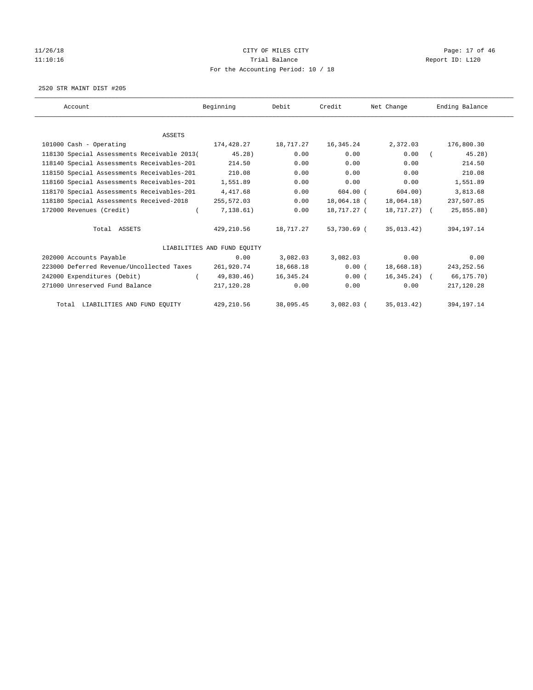# 11/26/18 Page: 17 of 46 11:10:16 Channel Report ID: L120 For the Accounting Period: 10 / 18

2520 STR MAINT DIST #205

| Account                                     | Beginning                   | Debit     | Credit       | Net Change    | Ending Balance |
|---------------------------------------------|-----------------------------|-----------|--------------|---------------|----------------|
|                                             |                             |           |              |               |                |
| ASSETS                                      |                             |           |              |               |                |
| 101000 Cash - Operating                     | 174,428.27                  | 18,717.27 | 16,345.24    | 2,372.03      | 176,800.30     |
| 118130 Special Assessments Receivable 2013( | $45.28$ )                   | 0.00      | 0.00         | 0.00          | 45.28          |
| 118140 Special Assessments Receivables-201  | 214.50                      | 0.00      | 0.00         | 0.00          | 214.50         |
| 118150 Special Assessments Receivables-201  | 210.08                      | 0.00      | 0.00         | 0.00          | 210.08         |
| 118160 Special Assessments Receivables-201  | 1,551.89                    | 0.00      | 0.00         | 0.00          | 1,551.89       |
| 118170 Special Assessments Receivables-201  | 4,417.68                    | 0.00      | $604.00$ (   | 604.00)       | 3,813.68       |
| 118180 Special Assessments Received-2018    | 255,572.03                  | 0.00      | 18,064.18 (  | 18,064.18)    | 237,507.85     |
| 172000 Revenues (Credit)<br>$\left($        | 7,138.61)                   | 0.00      | 18,717.27 (  | 18,717.27) (  | 25,855.88)     |
| Total ASSETS                                | 429,210.56                  | 18,717.27 | 53,730.69 (  | 35,013.42)    | 394, 197. 14   |
|                                             | LIABILITIES AND FUND EOUITY |           |              |               |                |
| 202000 Accounts Payable                     | 0.00                        | 3,082.03  | 3,082.03     | 0.00          | 0.00           |
| 223000 Deferred Revenue/Uncollected Taxes   | 261,920.74                  | 18,668.18 | 0.00(        | 18,668.18)    | 243, 252.56    |
| 242000 Expenditures (Debit)                 | 49,830.46)                  | 16,345.24 | 0.00(        | $16,345.24$ ( | 66,175.70)     |
| 271000 Unreserved Fund Balance              | 217,120.28                  | 0.00      | 0.00         | 0.00          | 217,120.28     |
| Total LIABILITIES AND FUND EQUITY           | 429,210.56                  | 38,095.45 | $3,082.03$ ( | 35,013.42)    | 394, 197. 14   |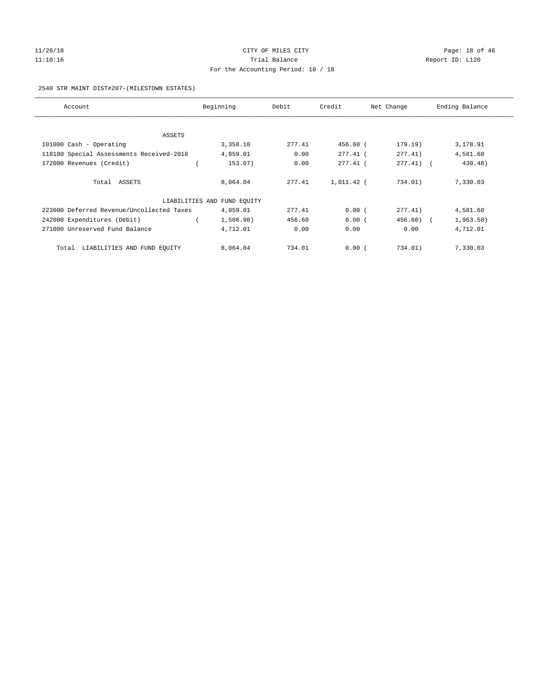# 11/26/18 Page: 18 of 46 11:10:16 Channel Report ID: L120 For the Accounting Period: 10 / 18

## 2540 STR MAINT DIST#207-(MILESTOWN ESTATES)

| Account                                   | Beginning                   | Debit  | Credit     | Net Change   | Ending Balance |
|-------------------------------------------|-----------------------------|--------|------------|--------------|----------------|
|                                           |                             |        |            |              |                |
| ASSETS                                    |                             |        |            |              |                |
| 101000 Cash - Operating                   | 3,358.10                    | 277.41 | 456.60 (   | 179.19)      | 3,178.91       |
| 118180 Special Assessments Received-2018  | 4,859.01                    | 0.00   | $277.41$ ( | 277.41)      | 4,581.60       |
| 172000 Revenues (Credit)                  | 153.07)                     | 0.00   | $277.41$ ( | $277.41$ ) ( | 430.48)        |
| Total ASSETS                              | 8,064.04                    | 277.41 | 1,011.42 ( | 734.01)      | 7,330.03       |
|                                           | LIABILITIES AND FUND EQUITY |        |            |              |                |
| 223000 Deferred Revenue/Uncollected Taxes | 4,859.01                    | 277.41 | 0.00(      | 277.41)      | 4,581.60       |
| 242000 Expenditures (Debit)               | 1,506.98)                   | 456.60 | 0.00(      | $456.60$ (   | 1,963.58)      |
| 271000 Unreserved Fund Balance            | 4,712.01                    | 0.00   | 0.00       | 0.00         | 4,712.01       |
| LIABILITIES AND FUND EQUITY<br>Total      | 8,064.04                    | 734.01 | 0.00(      | 734.01)      | 7,330.03       |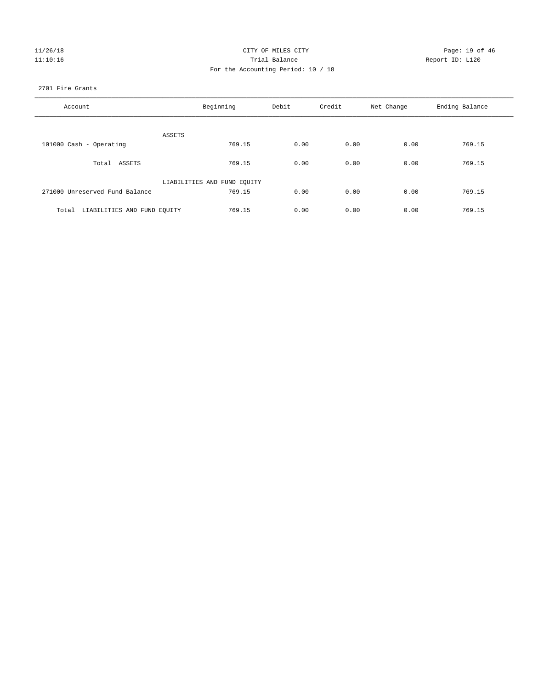|  | 11/26/18 |
|--|----------|
|  | 11:10:16 |

## CITY OF MILES CITY CITY CITY Page: 19 of 46 Partial Balance and Communications of the Report ID: L120 For the Accounting Period: 10 / 18

## 2701 Fire Grants

| Account                           | Beginning                   | Debit | Credit | Net Change | Ending Balance |
|-----------------------------------|-----------------------------|-------|--------|------------|----------------|
| ASSETS                            |                             |       |        |            |                |
| 101000 Cash - Operating           | 769.15                      | 0.00  | 0.00   | 0.00       | 769.15         |
| Total ASSETS                      | 769.15                      | 0.00  | 0.00   | 0.00       | 769.15         |
|                                   | LIABILITIES AND FUND EQUITY |       |        |            |                |
| 271000 Unreserved Fund Balance    | 769.15                      | 0.00  | 0.00   | 0.00       | 769.15         |
| Total LIABILITIES AND FUND EQUITY | 769.15                      | 0.00  | 0.00   | 0.00       | 769.15         |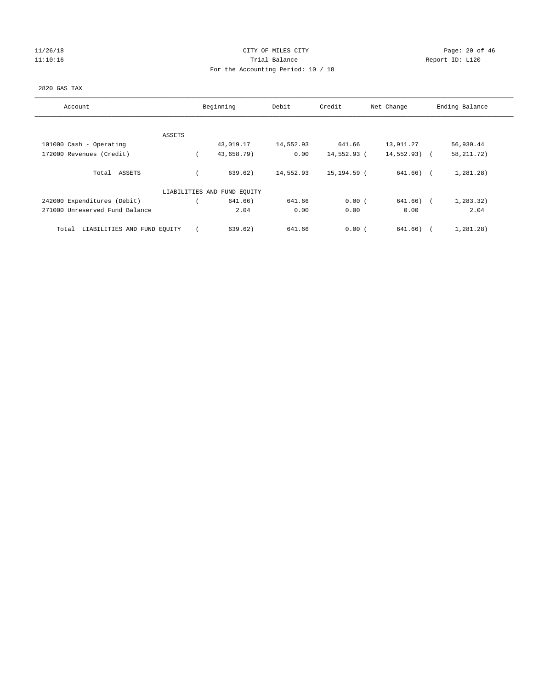## 11/26/18 Page: 20 of 46 11:10:16 Trial Balance Report ID: L120 For the Accounting Period: 10 / 18

## 2820 GAS TAX

| Account                              | Beginning                   | Debit     | Credit      | Net Change    | Ending Balance |
|--------------------------------------|-----------------------------|-----------|-------------|---------------|----------------|
|                                      |                             |           |             |               |                |
| ASSETS<br>101000 Cash - Operating    | 43,019.17                   | 14,552.93 | 641.66      | 13,911.27     | 56,930.44      |
|                                      |                             |           |             |               |                |
| 172000 Revenues (Credit)             | 43,658.79)                  | 0.00      | 14,552.93 ( | $14,552.93$ ( | 58, 211.72)    |
| Total ASSETS                         | 639.62)                     | 14,552.93 | 15,194.59 ( | $641.66$ ) (  | 1,281.28)      |
|                                      | LIABILITIES AND FUND EQUITY |           |             |               |                |
| 242000 Expenditures (Debit)          | 641.66)                     | 641.66    | 0.00(       | 641.66) (     | 1,283.32)      |
| 271000 Unreserved Fund Balance       | 2.04                        | 0.00      | 0.00        | 0.00          | 2.04           |
| LIABILITIES AND FUND EQUITY<br>Total | 639.62)                     | 641.66    | 0.00(       | 641.66)       | 1,281.28)      |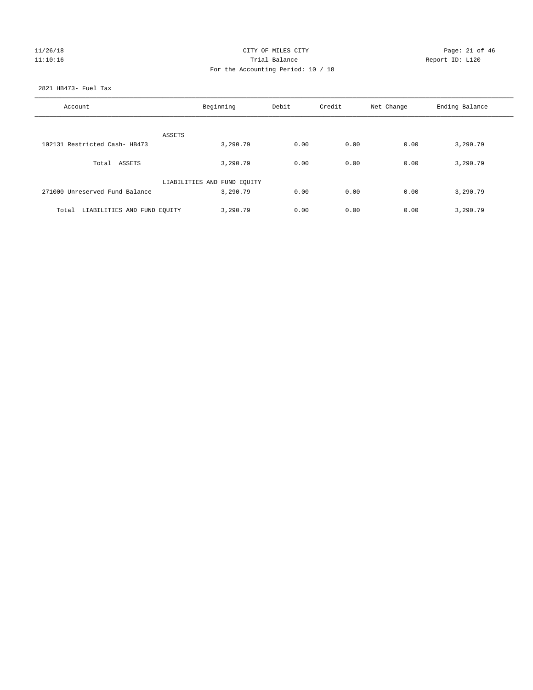## 11/26/18 Page: 21 of 46 11:10:16 Channel Report ID: L120 For the Accounting Period: 10 / 18

## 2821 HB473- Fuel Tax

| Account                           | Beginning                               | Debit | Credit | Net Change | Ending Balance |
|-----------------------------------|-----------------------------------------|-------|--------|------------|----------------|
| ASSETS                            |                                         |       |        |            |                |
| 102131 Restricted Cash- HB473     | 3,290.79                                | 0.00  | 0.00   | 0.00       | 3,290.79       |
| Total ASSETS                      | 3,290.79                                | 0.00  | 0.00   | 0.00       | 3,290.79       |
| 271000 Unreserved Fund Balance    | LIABILITIES AND FUND EQUITY<br>3,290.79 | 0.00  | 0.00   | 0.00       | 3,290.79       |
| Total LIABILITIES AND FUND EQUITY | 3,290.79                                | 0.00  | 0.00   | 0.00       | 3,290.79       |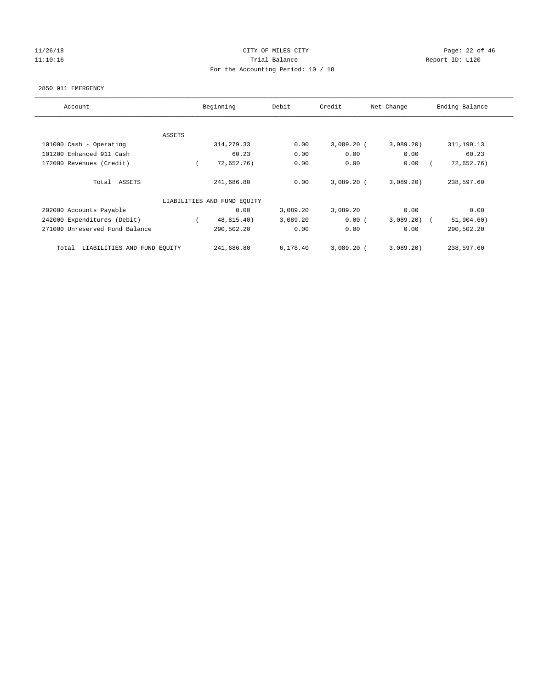## 11/26/18 Page: 22 of 46 11:10:16 Channel Report ID: L120 For the Accounting Period: 10 / 18

#### 2850 911 EMERGENCY

| Account                              | Beginning |                             | Debit    | Credit<br>Net Change |          | Ending Balance |  |
|--------------------------------------|-----------|-----------------------------|----------|----------------------|----------|----------------|--|
|                                      |           |                             |          |                      |          |                |  |
| <b>ASSETS</b>                        |           |                             |          |                      |          |                |  |
| 101000 Cash - Operating              |           | 314, 279.33                 | 0.00     | $3,089.20$ (         | 3,089.20 | 311,190.13     |  |
| 101200 Enhanced 911 Cash             |           | 60.23                       | 0.00     | 0.00                 | 0.00     | 60.23          |  |
| 172000 Revenues (Credit)             |           | 72,652.76)                  | 0.00     | 0.00                 | 0.00     | 72,652.76)     |  |
|                                      |           |                             |          |                      |          |                |  |
| Total ASSETS                         |           | 241,686.80                  | 0.00     | $3,089.20$ (         | 3,089.20 | 238,597.60     |  |
|                                      |           | LIABILITIES AND FUND EQUITY |          |                      |          |                |  |
|                                      |           |                             |          |                      |          |                |  |
| 202000 Accounts Payable              |           | 0.00                        | 3,089.20 | 3,089.20             | 0.00     | 0.00           |  |
| 242000 Expenditures (Debit)          |           | 48,815.40)                  | 3,089.20 | 0.00(                | 3,089.20 | 51,904.60)     |  |
| 271000 Unreserved Fund Balance       |           | 290,502.20                  | 0.00     | 0.00                 | 0.00     | 290,502.20     |  |
|                                      |           |                             |          |                      |          |                |  |
| LIABILITIES AND FUND EQUITY<br>Total |           | 241,686.80                  | 6,178.40 | $3,089.20$ (         | 3,089.20 | 238,597.60     |  |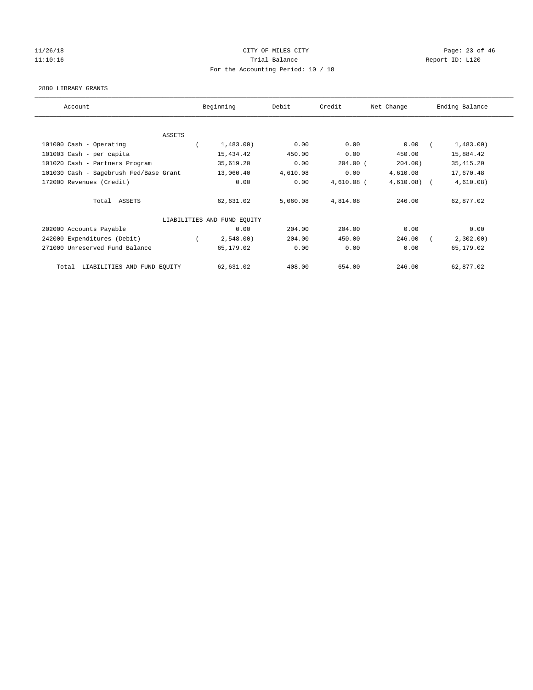# 11/26/18 Page: 23 of 46 11:10:16 Channel Report ID: L120 For the Accounting Period: 10 / 18

#### 2880 LIBRARY GRANTS

| Account                                | Beginning                   |           | Debit    | Credit       | Net Change   | Ending Balance |
|----------------------------------------|-----------------------------|-----------|----------|--------------|--------------|----------------|
|                                        |                             |           |          |              |              |                |
| ASSETS                                 |                             |           |          |              |              |                |
| 101000 Cash - Operating                |                             | 1,483.00) | 0.00     | 0.00         | 0.00         | 1,483.00)      |
| 101003 Cash - per capita               |                             | 15,434.42 | 450.00   | 0.00         | 450.00       | 15,884.42      |
| 101020 Cash - Partners Program         |                             | 35,619.20 | 0.00     | $204.00$ (   | 204.00       | 35, 415.20     |
| 101030 Cash - Sagebrush Fed/Base Grant |                             | 13,060.40 | 4,610.08 | 0.00         | 4,610.08     | 17,670.48      |
| 172000 Revenues (Credit)               |                             | 0.00      | 0.00     | $4,610.08$ ( | $4,610.08$ ( | 4,610.08)      |
| Total ASSETS                           |                             | 62,631.02 | 5,060.08 | 4,814.08     | 246.00       | 62,877.02      |
|                                        | LIABILITIES AND FUND EQUITY |           |          |              |              |                |
| 202000 Accounts Payable                |                             | 0.00      | 204.00   | 204.00       | 0.00         | 0.00           |
| 242000 Expenditures (Debit)            |                             | 2,548.00  | 204.00   | 450.00       | 246.00       | 2,302.00       |
| 271000 Unreserved Fund Balance         |                             | 65,179.02 | 0.00     | 0.00         | 0.00         | 65,179.02      |
| LIABILITIES AND FUND EQUITY<br>Total   |                             | 62,631.02 | 408.00   | 654.00       | 246.00       | 62,877.02      |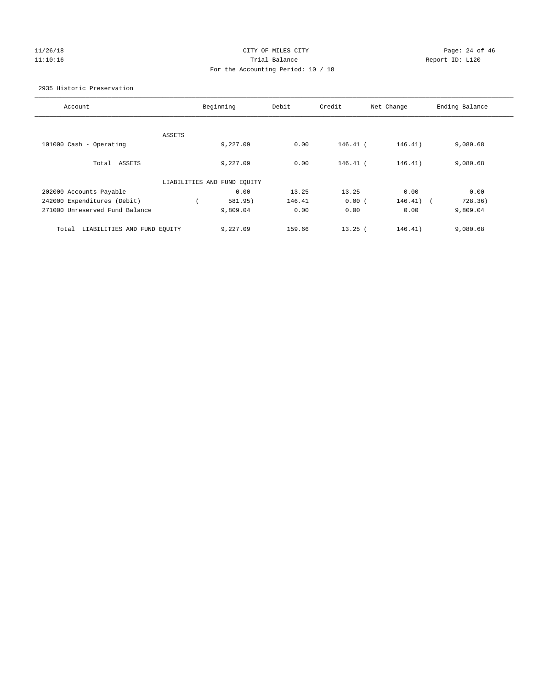## 11/26/18 Page: 24 of 46 11:10:16 Trial Balance Report ID: L120 For the Accounting Period: 10 / 18

## 2935 Historic Preservation

| Account                              |        | Beginning                   | Debit  | Credit     | Net Change  | Ending Balance |
|--------------------------------------|--------|-----------------------------|--------|------------|-------------|----------------|
|                                      |        |                             |        |            |             |                |
|                                      | ASSETS |                             |        |            |             |                |
| 101000 Cash - Operating              |        | 9,227.09                    | 0.00   | $146.41$ ( | 146.41)     | 9,080.68       |
|                                      |        |                             |        |            |             |                |
| Total ASSETS                         |        | 9,227.09                    | 0.00   | $146.41$ ( | 146.41)     | 9,080.68       |
|                                      |        |                             |        |            |             |                |
|                                      |        | LIABILITIES AND FUND EQUITY |        |            |             |                |
| 202000 Accounts Payable              |        | 0.00                        | 13.25  | 13.25      | 0.00        | 0.00           |
| 242000 Expenditures (Debit)          |        | 581.95)                     | 146.41 | 0.00(      | $146.41)$ ( | 728.36)        |
| 271000 Unreserved Fund Balance       |        | 9,809.04                    | 0.00   | 0.00       | 0.00        | 9,809.04       |
|                                      |        |                             |        |            |             |                |
| LIABILITIES AND FUND EQUITY<br>Total |        | 9,227.09                    | 159.66 | $13.25$ (  | 146.41)     | 9,080.68       |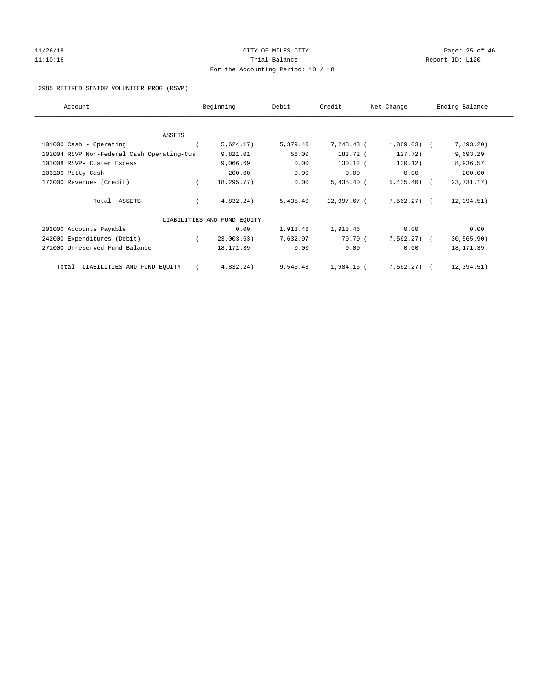## 11/26/18 Page: 25 of 46 11:10:16 Trial Balance Report ID: L120 For the Accounting Period: 10 / 18

## 2985 RETIRED SENIOR VOLUNTEER PROG (RSVP)

| Account                                    | Beginning                   | Debit    | Credit       | Net Change   | Ending Balance |
|--------------------------------------------|-----------------------------|----------|--------------|--------------|----------------|
|                                            |                             |          |              |              |                |
| ASSETS                                     |                             |          |              |              |                |
| 101000 Cash - Operating                    | 5,624.17)                   | 5,379.40 | 7,248.43 (   | $1,869.03$ ( | 7,493.20)      |
| 101004 RSVP Non-Federal Cash Operating-Cus | 9,821.01                    | 56.00    | 183.72 (     | 127.72)      | 9,693.29       |
| 101008 RSVP- Custer Excess                 | 9,066.69                    | 0.00     | $130.12$ (   | 130.12)      | 8,936.57       |
| 103100 Petty Cash-                         | 200.00                      | 0.00     | 0.00         | 0.00         | 200.00         |
| 172000 Revenues (Credit)                   | 18,295.77)                  | 0.00     | $5,435.40$ ( | $5,435.40$ ( | 23,731.17)     |
| Total ASSETS                               | 4,832.24)                   | 5,435.40 | 12,997.67 (  | $7,562.27$ ( | 12, 394.51)    |
|                                            | LIABILITIES AND FUND EQUITY |          |              |              |                |
| 202000 Accounts Payable                    | 0.00                        | 1,913.46 | 1,913.46     | 0.00         | 0.00           |
| 242000 Expenditures (Debit)                | 23,003.63)                  | 7,632.97 | 70.70(       | $7,562.27$ ( | 30, 565.90)    |
| 271000 Unreserved Fund Balance             | 18, 171.39                  | 0.00     | 0.00         | 0.00         | 18,171.39      |
| LIABILITIES AND FUND EQUITY<br>Total       | 4,832.24)                   | 9,546.43 | 1,984.16 (   | 7,562.27)    | 12, 394.51)    |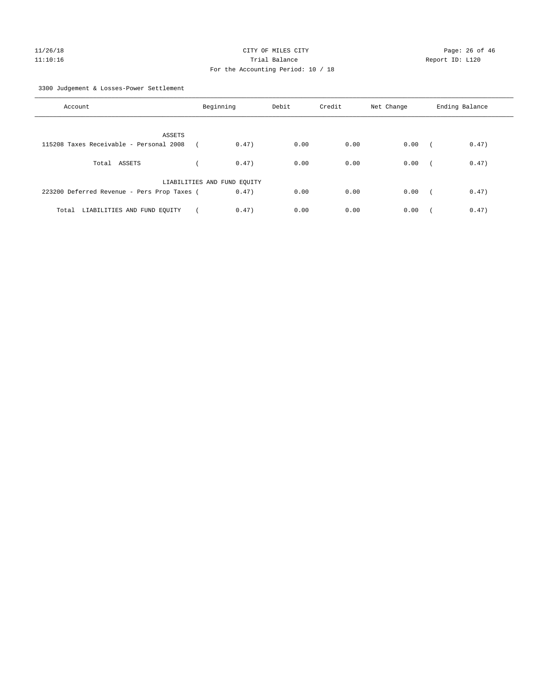3300 Judgement & Losses-Power Settlement

| Account                                     | Beginning                   | Debit | Credit | Net Change | Ending Balance      |
|---------------------------------------------|-----------------------------|-------|--------|------------|---------------------|
| ASSETS                                      |                             |       |        |            |                     |
| 115208 Taxes Receivable - Personal 2008     | 0.47)                       | 0.00  | 0.00   | 0.00       | 0.47)<br>$\sqrt{2}$ |
| Total ASSETS                                | 0.47)                       | 0.00  | 0.00   | 0.00       | 0.47)<br>$\sim$     |
|                                             | LIABILITIES AND FUND EQUITY |       |        |            |                     |
| 223200 Deferred Revenue - Pers Prop Taxes ( | 0.47)                       | 0.00  | 0.00   | 0.00       | 0.47)<br>$\sqrt{2}$ |
| LIABILITIES AND FUND EQUITY<br>Total        | 0.47)                       | 0.00  | 0.00   | 0.00       | 0.47)               |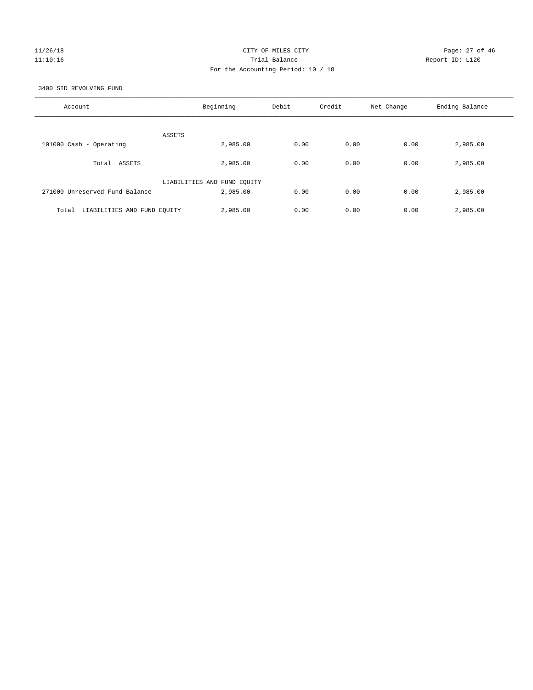## $CITY$  OF MILES  $CITY$  and the contract of  $P46$ 11:10:16 Trial Balance Report ID: L120 For the Accounting Period: 10 / 18

3400 SID REVOLVING FUND

| Account                              | Beginning                   | Debit | Credit | Net Change | Ending Balance |
|--------------------------------------|-----------------------------|-------|--------|------------|----------------|
| ASSETS                               |                             |       |        |            |                |
| 101000 Cash - Operating              | 2,985.00                    | 0.00  | 0.00   | 0.00       | 2,985.00       |
| ASSETS<br>Total                      | 2,985,00                    | 0.00  | 0.00   | 0.00       | 2,985.00       |
|                                      | LIABILITIES AND FUND EQUITY |       |        |            |                |
| 271000 Unreserved Fund Balance       | 2,985,00                    | 0.00  | 0.00   | 0.00       | 2,985.00       |
| Total<br>LIABILITIES AND FUND EQUITY | 2,985.00                    | 0.00  | 0.00   | 0.00       | 2,985.00       |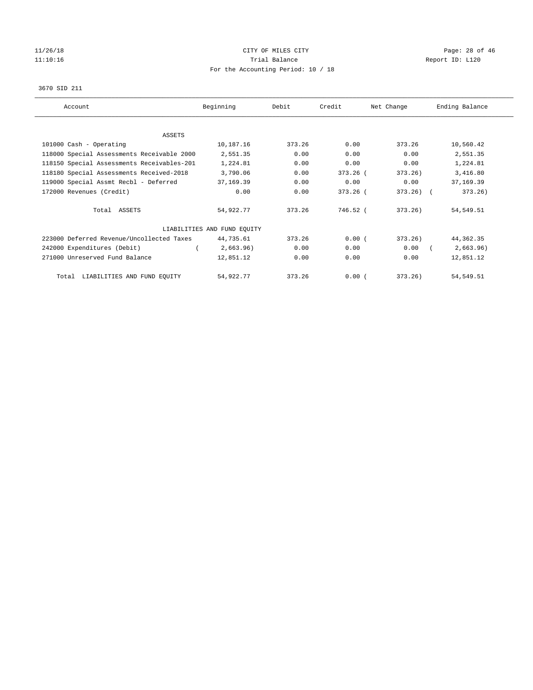# 11/26/18 Page: 28 of 46 11:10:16 Channel Report ID: L120 For the Accounting Period: 10 / 18

## 3670 SID 211

| Account                                    | Beginning                   | Debit  | Credit   | Net Change   | Ending Balance |
|--------------------------------------------|-----------------------------|--------|----------|--------------|----------------|
|                                            |                             |        |          |              |                |
| ASSETS                                     |                             |        |          |              |                |
| 101000 Cash - Operating                    | 10,187.16                   | 373.26 | 0.00     | 373.26       | 10,560.42      |
| 118000 Special Assessments Receivable 2000 | 2,551.35                    | 0.00   | 0.00     | 0.00         | 2,551.35       |
| 118150 Special Assessments Receivables-201 | 1,224.81                    | 0.00   | 0.00     | 0.00         | 1,224.81       |
| 118180 Special Assessments Received-2018   | 3,790.06                    | 0.00   | 373.26 ( | 373.26)      | 3,416.80       |
| 119000 Special Assmt Recbl - Deferred      | 37,169.39                   | 0.00   | 0.00     | 0.00         | 37,169.39      |
| 172000 Revenues (Credit)                   | 0.00                        | 0.00   | 373.26 ( | $373.26$ ) ( | 373.26)        |
| Total ASSETS                               | 54,922.77                   | 373.26 | 746.52 ( | 373.26       | 54,549.51      |
|                                            | LIABILITIES AND FUND EQUITY |        |          |              |                |
| 223000 Deferred Revenue/Uncollected Taxes  | 44,735.61                   | 373.26 | 0.00(    | 373.26)      | 44, 362. 35    |
| 242000 Expenditures (Debit)                | 2,663.96)                   | 0.00   | 0.00     | 0.00         | 2,663.96)      |
| 271000 Unreserved Fund Balance             | 12,851.12                   | 0.00   | 0.00     | 0.00         | 12,851.12      |
| Total LIABILITIES AND FUND EQUITY          | 54,922.77                   | 373.26 | 0.00(    | 373.26)      | 54, 549.51     |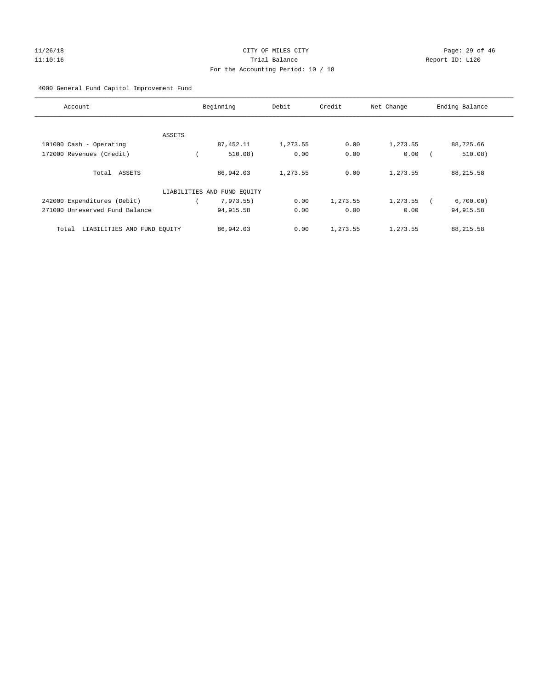# 11/26/18 Page: 29 of 46 11:10:16 Trial Balance Report ID: L120 For the Accounting Period: 10 / 18

## 4000 General Fund Capitol Improvement Fund

| Account                              |        | Beginning                   | Debit    | Credit   | Net Change | Ending Balance |
|--------------------------------------|--------|-----------------------------|----------|----------|------------|----------------|
|                                      |        |                             |          |          |            |                |
|                                      | ASSETS |                             |          |          |            |                |
| 101000 Cash - Operating              |        | 87, 452.11                  | 1,273.55 | 0.00     | 1,273.55   | 88,725.66      |
| 172000 Revenues (Credit)             |        | 510.08)                     | 0.00     | 0.00     | 0.00       | 510.08)        |
| Total ASSETS                         |        | 86,942.03                   | 1,273.55 | 0.00     | 1,273.55   | 88, 215.58     |
|                                      |        | LIABILITIES AND FUND EQUITY |          |          |            |                |
| 242000 Expenditures (Debit)          |        | 7,973.55)                   | 0.00     | 1,273.55 | 1,273.55   | 6,700.00)      |
| 271000 Unreserved Fund Balance       |        | 94, 915.58                  | 0.00     | 0.00     | 0.00       | 94, 915.58     |
| LIABILITIES AND FUND EQUITY<br>Total |        | 86,942.03                   | 0.00     | 1,273.55 | 1,273.55   | 88,215.58      |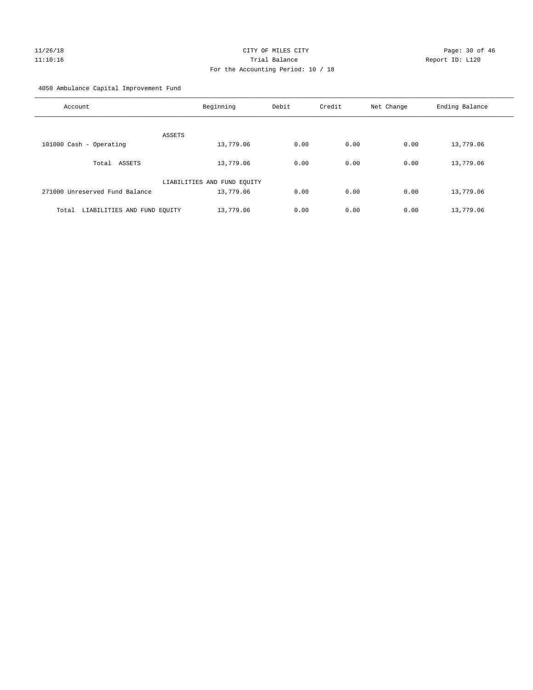# $CITY$  OF MILES  $CITY$  and the contract of  $P46$ 11:10:16 Trial Balance Report ID: L120 For the Accounting Period: 10 / 18

4050 Ambulance Capital Improvement Fund

| Account                              | Beginning                   | Debit | Credit | Net Change | Ending Balance |
|--------------------------------------|-----------------------------|-------|--------|------------|----------------|
| ASSETS                               |                             |       |        |            |                |
| 101000 Cash - Operating              | 13,779.06                   | 0.00  | 0.00   | 0.00       | 13,779.06      |
| ASSETS<br>Total                      | 13,779.06                   | 0.00  | 0.00   | 0.00       | 13,779.06      |
|                                      | LIABILITIES AND FUND EQUITY |       |        |            |                |
| 271000 Unreserved Fund Balance       | 13,779.06                   | 0.00  | 0.00   | 0.00       | 13,779.06      |
| LIABILITIES AND FUND EQUITY<br>Total | 13,779.06                   | 0.00  | 0.00   | 0.00       | 13,779.06      |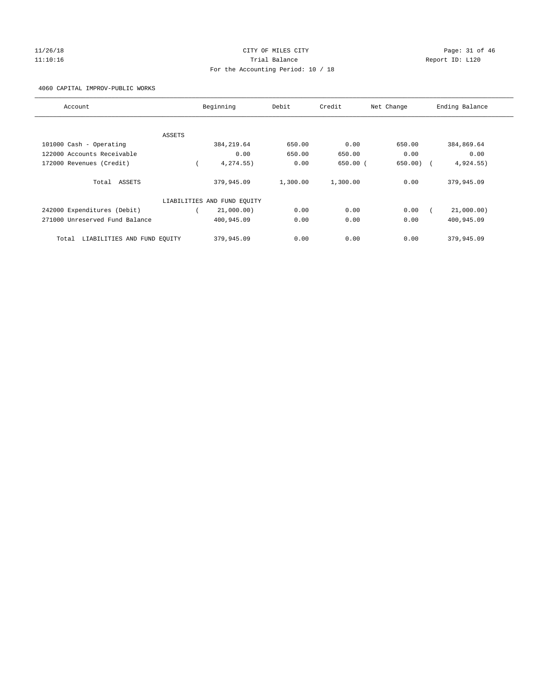## 11/26/18 Page: 31 of 46 11:10:16 Trial Balance Report ID: L120 For the Accounting Period: 10 / 18

4060 CAPITAL IMPROV-PUBLIC WORKS

| Account                              |        | Beginning                   | Debit    | Credit     | Net Change | Ending Balance |
|--------------------------------------|--------|-----------------------------|----------|------------|------------|----------------|
|                                      |        |                             |          |            |            |                |
|                                      | ASSETS |                             |          |            |            |                |
| 101000 Cash - Operating              |        | 384, 219.64                 | 650.00   | 0.00       | 650.00     | 384,869.64     |
| 122000 Accounts Receivable           |        | 0.00                        | 650.00   | 650.00     | 0.00       | 0.00           |
| 172000 Revenues (Credit)             |        | 4,274.55)                   | 0.00     | $650.00$ ( | 650.00)    | 4,924.55)      |
| Total ASSETS                         |        | 379,945.09                  | 1,300.00 | 1,300.00   | 0.00       | 379,945.09     |
|                                      |        | LIABILITIES AND FUND EQUITY |          |            |            |                |
| 242000 Expenditures (Debit)          |        | 21,000.00)                  | 0.00     | 0.00       | 0.00       | 21,000.00)     |
| 271000 Unreserved Fund Balance       |        | 400,945.09                  | 0.00     | 0.00       | 0.00       | 400,945.09     |
| LIABILITIES AND FUND EQUITY<br>Total |        | 379,945.09                  | 0.00     | 0.00       | 0.00       | 379,945.09     |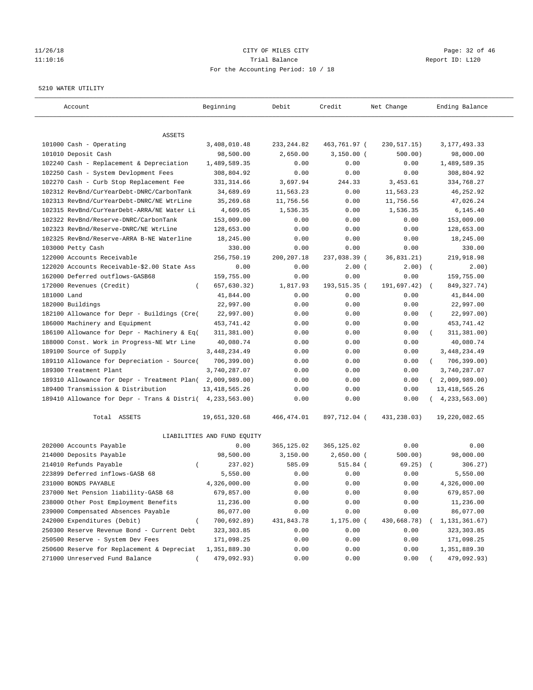# $CITY$  OF MILES  $CITY$  and the contract of  $P_0$  and  $CITY$  and  $P_1$  and  $P_2$  and  $P_3$  of  $46$ 11:10:16 Trial Balance Report ID: L120 For the Accounting Period: 10 / 18

#### 5210 WATER UTILITY

| Account                                                   | Beginning                   | Debit       | Credit       | Net Change    | Ending Balance             |
|-----------------------------------------------------------|-----------------------------|-------------|--------------|---------------|----------------------------|
|                                                           |                             |             |              |               |                            |
| ASSETS<br>101000 Cash - Operating                         |                             |             |              |               | 3, 177, 493.33             |
|                                                           | 3,408,010.48                | 233, 244.82 | 463,761.97 ( | 230, 517. 15) |                            |
| 101010 Deposit Cash                                       | 98,500.00                   | 2,650.00    | $3,150.00$ ( | 500.00)       | 98,000.00                  |
| 102240 Cash - Replacement & Depreciation                  | 1,489,589.35                | 0.00        | 0.00         | 0.00          | 1,489,589.35               |
| 102250 Cash - System Devlopment Fees                      | 308,804.92                  | 0.00        | 0.00         | 0.00          | 308,804.92                 |
| 102270 Cash - Curb Stop Replacement Fee                   | 331, 314.66                 | 3,697.94    | 244.33       | 3,453.61      | 334,768.27                 |
| 102312 RevBnd/CurYearDebt-DNRC/CarbonTank                 | 34,689.69                   | 11,563.23   | 0.00         | 11,563.23     | 46, 252.92                 |
| 102313 RevBnd/CurYearDebt-DNRC/NE WtrLine                 | 35,269.68                   | 11,756.56   | 0.00         | 11,756.56     | 47,026.24                  |
| 102315 RevBnd/CurYearDebt-ARRA/NE Water Li                | 4,609.05                    | 1,536.35    | 0.00         | 1,536.35      | 6, 145.40                  |
| 102322 RevBnd/Reserve-DNRC/CarbonTank                     | 153,009.00                  | 0.00        | 0.00         | 0.00          | 153,009.00                 |
| 102323 RevBnd/Reserve-DNRC/NE WtrLine                     | 128,653.00                  | 0.00        | 0.00         | 0.00          | 128,653.00                 |
| 102325 RevBnd/Reserve-ARRA B-NE Waterline                 | 18,245.00                   | 0.00        | 0.00         | 0.00          | 18,245.00                  |
| 103000 Petty Cash                                         | 330.00                      | 0.00        | 0.00         | 0.00          | 330.00                     |
| 122000 Accounts Receivable                                | 256,750.19                  | 200, 207.18 | 237,038.39 ( | 36,831.21)    | 219,918.98                 |
| 122020 Accounts Receivable-\$2.00 State Ass               | 0.00                        | 0.00        | $2.00$ (     | 2.00)         | $\sqrt{2}$<br>2.00)        |
| 162000 Deferred outflows-GASB68                           | 159,755.00                  | 0.00        | 0.00         | 0.00          | 159,755.00                 |
| 172000 Revenues (Credit)<br>$\left($                      | 657,630.32)                 | 1,817.93    | 193,515.35 ( | 191,697.42)   | 849, 327. 74)              |
| 181000 Land                                               | 41,844.00                   | 0.00        | 0.00         | 0.00          | 41,844.00                  |
| 182000 Buildings                                          | 22,997.00                   | 0.00        | 0.00         | 0.00          | 22,997.00                  |
| 182100 Allowance for Depr - Buildings (Cre(               | 22,997.00)                  | 0.00        | 0.00         | 0.00          | 22,997.00)                 |
| 186000 Machinery and Equipment                            | 453,741.42                  | 0.00        | 0.00         | 0.00          | 453,741.42                 |
| 186100 Allowance for Depr - Machinery & Eq(               | 311, 381.00)                | 0.00        | 0.00         | 0.00          | 311,381.00)                |
| 188000 Const. Work in Progress-NE Wtr Line                | 40,080.74                   | 0.00        | 0.00         | 0.00          | 40,080.74                  |
| 189100 Source of Supply                                   | 3, 448, 234.49              | 0.00        | 0.00         | 0.00          | 3, 448, 234.49             |
| 189110 Allowance for Depreciation - Source(               | 706, 399.00)                | 0.00        | 0.00         | 0.00          | 706,399.00)<br>$\left($    |
| 189300 Treatment Plant                                    | 3,740,287.07                | 0.00        | 0.00         | 0.00          | 3,740,287.07               |
| 189310 Allowance for Depr - Treatment Plan(               | 2,009,989.00)               | 0.00        | 0.00         | 0.00          | 2,009,989.00<br>$\sqrt{2}$ |
| 189400 Transmission & Distribution                        | 13, 418, 565.26             | 0.00        | 0.00         | 0.00          | 13, 418, 565.26            |
| 189410 Allowance for Depr - Trans & Distri( 4,233,563.00) |                             | 0.00        | 0.00         | 0.00          | 4, 233, 563.00)            |
| Total ASSETS                                              | 19,651,320.68               | 466, 474.01 | 897,712.04 ( | 431,238.03)   | 19,220,082.65              |
|                                                           | LIABILITIES AND FUND EQUITY |             |              |               |                            |
| 202000 Accounts Payable                                   | 0.00                        | 365,125.02  | 365,125.02   | 0.00          | 0.00                       |
| 214000 Deposits Payable                                   | 98,500.00                   | 3,150.00    | $2,650.00$ ( | 500.00)       | 98,000.00                  |
| 214010 Refunds Payable<br>$\left($                        | 237.02)                     | 585.09      | $515.84$ (   | 69.25)        | 306.27)                    |
| 223899 Deferred inflows-GASB 68                           | 5,550.00                    | 0.00        | 0.00         | 0.00          | 5,550.00                   |
| 231000 BONDS PAYABLE                                      | 4,326,000.00                | 0.00        | 0.00         | 0.00          | 4,326,000.00               |
| 237000 Net Pension liability-GASB 68                      | 679,857.00                  | 0.00        | 0.00         | 0.00          | 679,857.00                 |
| 238000 Other Post Employment Benefits                     | 11,236.00                   | 0.00        | 0.00         | 0.00          | 11,236.00                  |
| 239000 Compensated Absences Payable                       | 86,077.00                   | 0.00        | 0.00         | 0.00          | 86,077.00                  |
| 242000 Expenditures (Debit)                               | 700,692.89)                 | 431,843.78  | 1,175.00 (   | 430,668.78)   | 1,131,361.67)              |
| 250300 Reserve Revenue Bond - Current Debt                | 323, 303.85                 | 0.00        | 0.00         | 0.00          | 323, 303.85                |
| 250500 Reserve - System Dev Fees                          | 171,098.25                  | 0.00        | 0.00         | 0.00          | 171,098.25                 |
| 250600 Reserve for Replacement & Depreciat                | 1,351,889.30                | 0.00        | 0.00         | 0.00          | 1,351,889.30               |
| 271000 Unreserved Fund Balance                            | 479,092.93)                 | 0.00        | 0.00         | 0.00          | 479,092.93)                |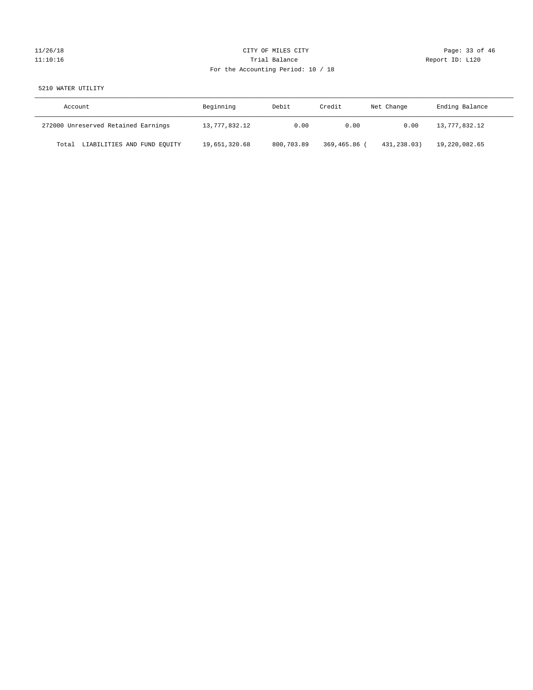# 11/26/18 Page: 33 of 46 11:10:16 Trial Balance Report ID: L120 For the Accounting Period: 10 / 18

## 5210 WATER UTILITY

| Account                              | Beginning     | Debit      | Credit     | Net Change  | Ending Balance |
|--------------------------------------|---------------|------------|------------|-------------|----------------|
| 272000 Unreserved Retained Earnings  | 13,777,832.12 | 0.00       | 0.00       | 0.00        | 13,777,832.12  |
| LIABILITIES AND FUND EQUITY<br>Total | 19,651,320.68 | 800,703.89 | 369,465.86 | 431,238.03) | 19,220,082.65  |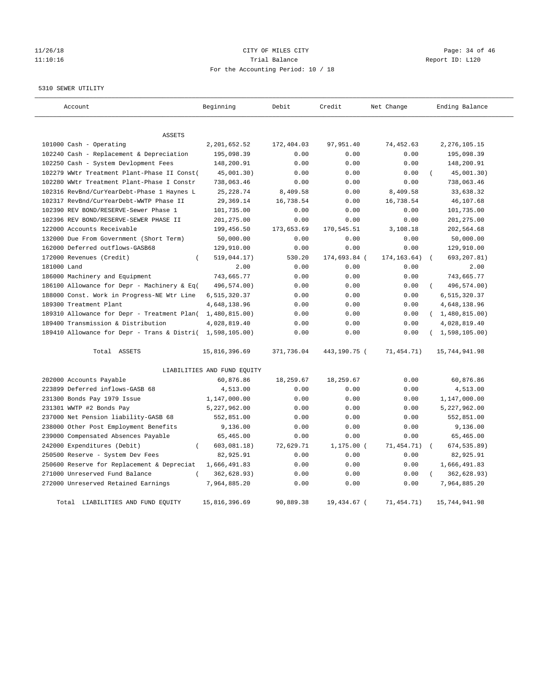# 11/26/18 Page: 34 of 46 11:10:16 Trial Balance Report ID: L120 For the Accounting Period: 10 / 18

#### 5310 SEWER UTILITY

| Account                                                   | Beginning                   | Debit      | Credit       | Net Change   | Ending Balance   |
|-----------------------------------------------------------|-----------------------------|------------|--------------|--------------|------------------|
| <b>ASSETS</b>                                             |                             |            |              |              |                  |
| 101000 Cash - Operating                                   | 2,201,652.52                | 172,404.03 | 97,951.40    | 74,452.63    | 2, 276, 105.15   |
| 102240 Cash - Replacement & Depreciation                  | 195,098.39                  | 0.00       | 0.00         | 0.00         | 195,098.39       |
| 102250 Cash - System Devlopment Fees                      | 148,200.91                  | 0.00       | 0.00         | 0.00         | 148,200.91       |
| 102279 WWtr Treatment Plant-Phase II Const(               | 45,001.30)                  | 0.00       | 0.00         | 0.00         | 45,001.30)       |
| 102280 WWtr Treatment Plant-Phase I Constr                | 738,063.46                  | 0.00       | 0.00         | 0.00         | 738,063.46       |
| 102316 RevBnd/CurYearDebt-Phase 1 Haynes L                | 25, 228.74                  | 8,409.58   | 0.00         | 8,409.58     | 33,638.32        |
| 102317 RevBnd/CurYearDebt-WWTP Phase II                   | 29,369.14                   | 16,738.54  | 0.00         | 16,738.54    | 46,107.68        |
| 102390 REV BOND/RESERVE-Sewer Phase 1                     | 101,735.00                  | 0.00       | 0.00         | 0.00         | 101,735.00       |
| 102396 REV BOND/RESERVE-SEWER PHASE II                    | 201,275.00                  | 0.00       | 0.00         | 0.00         | 201,275.00       |
| 122000 Accounts Receivable                                | 199,456.50                  | 173,653.69 | 170,545.51   | 3,108.18     | 202,564.68       |
| 132000 Due From Government (Short Term)                   | 50,000.00                   | 0.00       | 0.00         | 0.00         | 50,000.00        |
| 162000 Deferred outflows-GASB68                           | 129,910.00                  | 0.00       | 0.00         | 0.00         | 129,910.00       |
| 172000 Revenues (Credit)<br>$\left($                      | 519,044.17)                 | 530.20     | 174,693.84 ( | 174, 163.64) | 693,207.81)      |
| 181000 Land                                               | 2.00                        | 0.00       | 0.00         | 0.00         | 2.00             |
| 186000 Machinery and Equipment                            | 743,665.77                  | 0.00       | 0.00         | 0.00         | 743,665.77       |
| 186100 Allowance for Depr - Machinery & Eq(               | 496,574.00)                 | 0.00       | 0.00         | 0.00         | 496,574.00)      |
| 188000 Const. Work in Progress-NE Wtr Line                | 6,515,320.37                | 0.00       | 0.00         | 0.00         | 6,515,320.37     |
| 189300 Treatment Plant                                    | 4,648,138.96                | 0.00       | 0.00         | 0.00         | 4,648,138.96     |
| 189310 Allowance for Depr - Treatment Plan(               | 1,480,815.00)               | 0.00       | 0.00         | 0.00         | (1, 480, 815.00) |
| 189400 Transmission & Distribution                        | 4,028,819.40                | 0.00       | 0.00         | 0.00         | 4,028,819.40     |
| 189410 Allowance for Depr - Trans & Distri( 1,598,105.00) |                             | 0.00       | 0.00         | 0.00         | (1,598,105.00)   |
| Total ASSETS                                              | 15,816,396.69               | 371,736.04 | 443,190.75 ( | 71,454.71)   | 15,744,941.98    |
|                                                           | LIABILITIES AND FUND EQUITY |            |              |              |                  |
| 202000 Accounts Payable                                   | 60,876.86                   | 18,259.67  | 18,259.67    | 0.00         | 60,876.86        |
| 223899 Deferred inflows-GASB 68                           | 4,513.00                    | 0.00       | 0.00         | 0.00         | 4,513.00         |
| 231300 Bonds Pay 1979 Issue                               | 1,147,000.00                | 0.00       | 0.00         | 0.00         | 1,147,000.00     |
| 231301 WWTP #2 Bonds Pay                                  | 5,227,962.00                | 0.00       | 0.00         | 0.00         | 5,227,962.00     |
| 237000 Net Pension liability-GASB 68                      | 552,851.00                  | 0.00       | 0.00         | 0.00         | 552,851.00       |
| 238000 Other Post Employment Benefits                     | 9,136.00                    | 0.00       | 0.00         | 0.00         | 9,136.00         |
| 239000 Compensated Absences Payable                       | 65,465.00                   | 0.00       | 0.00         | 0.00         | 65,465.00        |
| 242000 Expenditures (Debit)<br>$\left($                   | 603,081.18)                 | 72,629.71  | $1,175.00$ ( | 71,454.71)   | 674,535.89)      |
| 250500 Reserve - System Dev Fees                          | 82,925.91                   | 0.00       | 0.00         | 0.00         | 82,925.91        |
| 250600 Reserve for Replacement & Depreciat                | 1,666,491.83                | 0.00       | 0.00         | 0.00         | 1,666,491.83     |
| 271000 Unreserved Fund Balance                            | 362,628.93)                 | 0.00       | 0.00         | 0.00         | 362,628.93)      |
| 272000 Unreserved Retained Earnings                       | 7,964,885.20                | 0.00       | 0.00         | 0.00         | 7,964,885.20     |
| LIABILITIES AND FUND EOUITY<br>Total                      | 15,816,396.69               | 90,889.38  | 19,434.67 (  | 71, 454. 71) | 15,744,941.98    |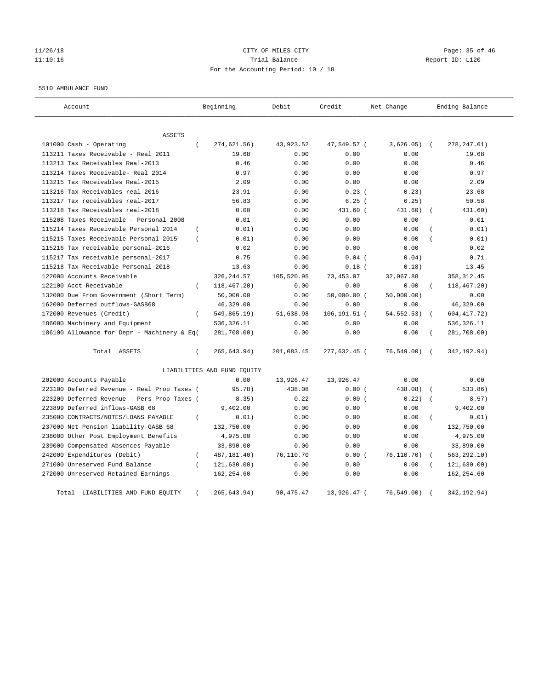## 11/26/18 Page: 35 of 46 11:10:16 Trial Balance Report ID: L120 For the Accounting Period: 10 / 18

#### 5510 AMBULANCE FUND

| Account                                           | Beginning                   | Debit      | Credit        | Net Change   | Ending Balance             |
|---------------------------------------------------|-----------------------------|------------|---------------|--------------|----------------------------|
| <b>ASSETS</b>                                     |                             |            |               |              |                            |
| 101000 Cash - Operating<br>$\left($               | 274,621.56)                 | 43,923.52  | 47,549.57 (   | 3,626.05)    | $\sqrt{2}$<br>278, 247.61) |
| 113211 Taxes Receivable - Real 2011               | 19.68                       | 0.00       | 0.00          | 0.00         | 19.68                      |
| 113213 Tax Receivables Real-2013                  | 0.46                        | 0.00       | 0.00          | 0.00         | 0.46                       |
| 113214 Taxes Receivable- Real 2014                | 0.97                        | 0.00       | 0.00          | 0.00         | 0.97                       |
| 113215 Tax Receivables Real-2015                  | 2.09                        | 0.00       | 0.00          | 0.00         | 2.09                       |
| 113216 Tax Receivables real-2016                  | 23.91                       | 0.00       | $0.23$ (      | 0.23)        | 23.68                      |
| 113217 Tax receivables real-2017                  | 56.83                       | 0.00       | 6.25(         | 6.25)        | 50.58                      |
| 113218 Tax Receivables real-2018                  | 0.00                        | 0.00       | 431.60 (      | 431.60)      | 431.60)                    |
| 115208 Taxes Receivable - Personal 2008           | 0.01                        | 0.00       | 0.00          | 0.00         | 0.01                       |
| 115214 Taxes Receivable Personal 2014<br>$\left($ | 0.01)                       | 0.00       | 0.00          | 0.00         | 0.01)                      |
| 115215 Taxes Receivable Personal-2015<br>$\left($ | 0.01)                       | 0.00       | 0.00          | 0.00         | 0.01)                      |
| 115216 Tax receivable personal-2016               | 0.02                        | 0.00       | 0.00          | 0.00         | 0.02                       |
| 115217 Tax receivable personal-2017               | 0.75                        | 0.00       | $0.04$ (      | 0.04)        | 0.71                       |
| 115218 Tax Receivable Personal-2018               | 13.63                       | 0.00       | $0.18$ (      | 0.18)        | 13.45                      |
| 122000 Accounts Receivable                        | 326, 244.57                 | 105,520.95 | 73,453.07     | 32,067.88    | 358, 312.45                |
| 122100 Acct Receivable                            | 118,467.20)                 | 0.00       | 0.00          | 0.00         | 118,467.20)                |
| 132000 Due From Government (Short Term)           | 50,000.00                   | 0.00       | $50,000.00$ ( | 50,000.00)   | 0.00                       |
| 162000 Deferred outflows-GASB68                   | 46,329.00                   | 0.00       | 0.00          | 0.00         | 46,329.00                  |
| 172000 Revenues (Credit)<br>$\left($              | 549,865.19)                 | 51,638.98  | 106,191.51 (  | 54, 552. 53) | 604, 417.72)               |
| 186000 Machinery and Equipment                    | 536, 326.11                 | 0.00       | 0.00          | 0.00         | 536, 326.11                |
| 186100 Allowance for Depr - Machinery & Eq(       | 281,708.00)                 | 0.00       | 0.00          | 0.00         | 281,708.00)                |
| Total ASSETS<br>$\left($                          | 265, 643.94)                | 201,083.45 | 277,632.45 (  | 76, 549.00)  | 342, 192.94)<br>$\sqrt{2}$ |
|                                                   | LIABILITIES AND FUND EQUITY |            |               |              |                            |
| 202000 Accounts Payable                           | 0.00                        | 13,926.47  | 13,926.47     | 0.00         | 0.00                       |
| 223100 Deferred Revenue - Real Prop Taxes (       | 95.78)                      | 438.08     | 0.00(         | 438.08)      | 533.86)                    |
| 223200 Deferred Revenue - Pers Prop Taxes (       | 8.35)                       | 0.22       | 0.00(         | 0.22)        | 8.57)                      |
| 223899 Deferred inflows-GASB 68                   | 9,402.00                    | 0.00       | 0.00          | 0.00         | 9,402.00                   |
| 235000 CONTRACTS/NOTES/LOANS PAYABLE<br>$\left($  | 0.01)                       | 0.00       | 0.00          | 0.00         | 0.01)<br>$\left($          |
| 237000 Net Pension liability-GASB 68              | 132,750.00                  | 0.00       | 0.00          | 0.00         | 132,750.00                 |
| 238000 Other Post Employment Benefits             | 4,975.00                    | 0.00       | 0.00          | 0.00         | 4,975.00                   |
| 239000 Compensated Absences Payable               | 33,890.00                   | 0.00       | 0.00          | 0.00         | 33,890.00                  |
| 242000 Expenditures (Debit)<br>$\left($           | 487, 181.40)                | 76,110.70  | 0.00(         | 76,110.70)   | 563, 292.10)               |
| 271000 Unreserved Fund Balance<br>$\left($        | 121, 630.00)                | 0.00       | 0.00          | 0.00         | 121, 630.00)               |
| 272000 Unreserved Retained Earnings               | 162,254.60                  | 0.00       | 0.00          | 0.00         | 162,254.60                 |
| Total LIABILITIES AND FUND EQUITY<br>$\left($     | 265,643.94)                 | 90, 475.47 | 13,926.47 (   | 76, 549.00)  | 342, 192.94)               |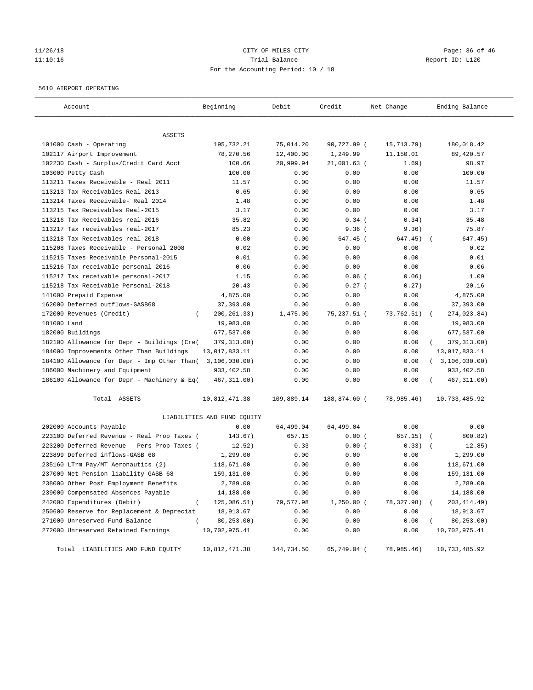## 11/26/18 Page: 36 of 46 11:10:16 Trial Balance Report ID: L120 For the Accounting Period: 10 / 18

#### 5610 AIRPORT OPERATING

| Account                                                   | Beginning                             | Debit                           | Credit       | Net Change | Ending Balance           |
|-----------------------------------------------------------|---------------------------------------|---------------------------------|--------------|------------|--------------------------|
|                                                           |                                       |                                 |              |            |                          |
| ASSETS<br>101000 Cash - Operating                         | 195,732.21                            | 75,014.20                       | 90,727.99 (  | 15,713.79) | 180,018.42               |
| 102117 Airport Improvement                                | 78,270.56                             | 12,400.00                       | 1,249.99     | 11,150.01  | 89,420.57                |
| 102230 Cash - Surplus/Credit Card Acct                    | 100.66                                | 20,999.94                       | 21,001.63 (  | 1.69)      | 98.97                    |
| 103000 Petty Cash                                         | 100.00                                | 0.00                            | 0.00         | 0.00       | 100.00                   |
| 113211 Taxes Receivable - Real 2011                       | 11.57                                 | 0.00                            | 0.00         | 0.00       | 11.57                    |
| 113213 Tax Receivables Real-2013                          | 0.65                                  | 0.00                            | 0.00         | 0.00       | 0.65                     |
| 113214 Taxes Receivable- Real 2014                        | 1.48                                  | 0.00                            | 0.00         | 0.00       | 1.48                     |
| 113215 Tax Receivables Real-2015                          | 3.17                                  | 0.00                            | 0.00         | 0.00       | 3.17                     |
| 113216 Tax Receivables real-2016                          | 35.82                                 | 0.00                            | $0.34$ (     | 0.34)      | 35.48                    |
| 113217 Tax receivables real-2017                          | 85.23                                 | 0.00                            | 9.36(        | 9.36)      | 75.87                    |
| 113218 Tax Receivables real-2018                          | 0.00                                  | 0.00                            | 647.45 (     | 647.45)    | 647.45)                  |
| 115208 Taxes Receivable - Personal 2008                   | 0.02                                  | 0.00                            | 0.00         | 0.00       | 0.02                     |
| 115215 Taxes Receivable Personal-2015                     | 0.01                                  | 0.00                            | 0.00         | 0.00       | 0.01                     |
| 115216 Tax receivable personal-2016                       | 0.06                                  | 0.00                            | 0.00         | 0.00       | 0.06                     |
| 115217 Tax receivable personal-2017                       | 1.15                                  | 0.00                            | $0.06$ (     | 0.06)      | 1.09                     |
| 115218 Tax Receivable Personal-2018                       | 20.43                                 | 0.00                            | $0.27$ (     | 0.27)      | 20.16                    |
| 141000 Prepaid Expense                                    | 4,875.00                              | 0.00                            | 0.00         | 0.00       | 4,875.00                 |
| 162000 Deferred outflows-GASB68                           |                                       | 0.00                            | 0.00         | 0.00       | 37,393.00                |
| 172000 Revenues (Credit)                                  | 37,393.00<br>200, 261.33)<br>$\left($ | 1,475.00                        | 75,237.51 (  | 73,762.51) |                          |
| 181000 Land                                               | 19,983.00                             | 0.00                            | 0.00         | 0.00       | 274,023.84)<br>19,983.00 |
| 182000 Buildings                                          | 677,537.00                            | 0.00                            | 0.00         | 0.00       | 677,537.00               |
| 182100 Allowance for Depr - Buildings (Cre(               | 379, 313.00)                          | 0.00                            | 0.00         | 0.00       | 379, 313.00)             |
| 184000 Improvements Other Than Buildings                  | 13,017,833.11                         | 0.00                            | 0.00         | 0.00       | 13,017,833.11            |
| 184100 Allowance for Depr - Imp Other Than( 3,106,030.00) |                                       | 0.00                            | 0.00         | 0.00       | (3, 106, 030.00)         |
| 186000 Machinery and Equipment                            | 933,402.58                            | 0.00                            | 0.00         | 0.00       | 933,402.58               |
| 186100 Allowance for Depr - Machinery & Eq(               | 467, 311.00)                          | 0.00                            | 0.00         | 0.00       | 467, 311.00)             |
|                                                           |                                       |                                 |              |            |                          |
| Total ASSETS                                              | 10,812,471.38                         | 109,889.14                      | 188,874.60 ( | 78,985.46) | 10,733,485.92            |
|                                                           | LIABILITIES AND FUND EQUITY           |                                 |              |            |                          |
| 202000 Accounts Payable                                   | 0.00                                  | 64,499.04                       | 64,499.04    | 0.00       | 0.00                     |
| 223100 Deferred Revenue - Real Prop Taxes (               | 143.67)                               | 657.15                          | 0.00(        | 657.15) (  | 800.82)                  |
| 223200 Deferred Revenue - Pers Prop Taxes (               | 12.52)                                | 0.33                            | 0.00(        | 0.33)      | 12.85)                   |
| 223899 Deferred inflows-GASB 68                           | 1,299.00                              | 0.00                            | 0.00         | 0.00       | 1,299.00                 |
| 235160 LTrm Pay/MT Aeronautics (2)                        | 118,671.00                            | 0.00                            | 0.00         | 0.00       | 118,671.00               |
| 237000 Net Pension liability-GASB 68                      | 159,131.00                            | 0.00                            | 0.00         | 0.00       | 159,131.00               |
| 238000 Other Post Employment Benefits                     | 2,789.00                              | 0.00                            | 0.00         | 0.00       | 2,789.00                 |
| 239000 Compensated Absences Payable                       | 14,188.00                             | ${\bf 0}$ . ${\bf 0}$ ${\bf 0}$ | 0.00         | 0.00       | 14,188.00                |
| 242000 Expenditures (Debit)                               | $\overline{(\ }$<br>125,086.51)       | 79,577.98                       | $1,250.00$ ( | 78,327.98) | 203,414.49)              |
| 250600 Reserve for Replacement & Depreciat                | 18,913.67                             | 0.00                            | 0.00         | 0.00       | 18,913.67                |
| 271000 Unreserved Fund Balance                            | 80,253.00)                            | 0.00                            | 0.00         | 0.00       | 80,253.00)               |
| 272000 Unreserved Retained Earnings                       | 10,702,975.41                         | 0.00                            | 0.00         | 0.00       | 10,702,975.41            |
| Total LIABILITIES AND FUND EQUITY                         | 10,812,471.38                         | 144,734.50                      | 65,749.04 (  | 78,985.46) | 10,733,485.92            |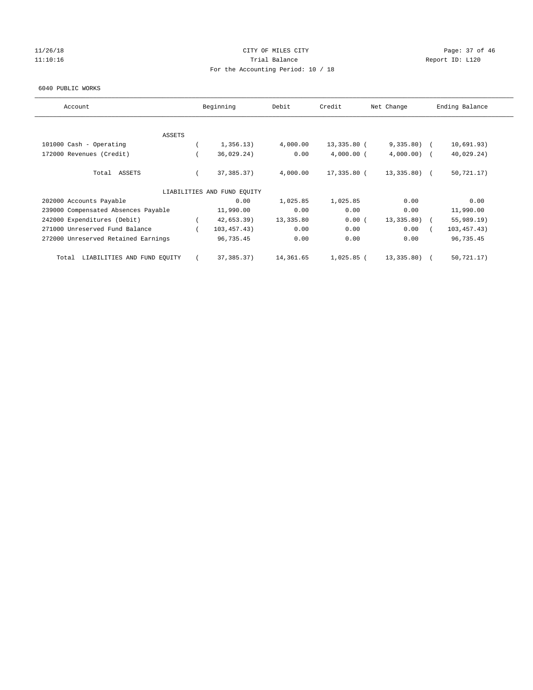## 11/26/18 Page: 37 of 46 11:10:16 Channel Report ID: L120 For the Accounting Period: 10 / 18

#### 6040 PUBLIC WORKS

| Account                              | Beginning                   | Debit     | Credit       | Net Change    | Ending Balance |
|--------------------------------------|-----------------------------|-----------|--------------|---------------|----------------|
|                                      |                             |           |              |               |                |
| <b>ASSETS</b>                        |                             |           |              |               |                |
| 101000 Cash - Operating              | 1,356.13)                   | 4,000.00  | 13,335.80 (  | $9,335.80$ (  | 10,691.93)     |
| 172000 Revenues (Credit)             | 36,029.24)                  | 0.00      | $4,000.00$ ( | $4,000.00)$ ( | 40,029.24)     |
| Total ASSETS                         | 37, 385. 37)                | 4,000.00  | 17,335.80 (  | $13,335.80$ ( | 50, 721.17)    |
|                                      | LIABILITIES AND FUND EQUITY |           |              |               |                |
| 202000 Accounts Payable              | 0.00                        | 1,025.85  | 1,025.85     | 0.00          | 0.00           |
| 239000 Compensated Absences Payable  | 11,990.00                   | 0.00      | 0.00         | 0.00          | 11,990.00      |
| 242000 Expenditures (Debit)          | 42,653.39)                  | 13,335.80 | 0.00(        | 13,335.80)    | 55,989.19      |
| 271000 Unreserved Fund Balance       | 103, 457.43)                | 0.00      | 0.00         | 0.00          | 103, 457.43)   |
| 272000 Unreserved Retained Earnings  | 96,735.45                   | 0.00      | 0.00         | 0.00          | 96,735.45      |
| LIABILITIES AND FUND EQUITY<br>Total | 37,385.37)                  | 14,361.65 | $1,025.85$ ( | 13,335.80)    | 50, 721.17)    |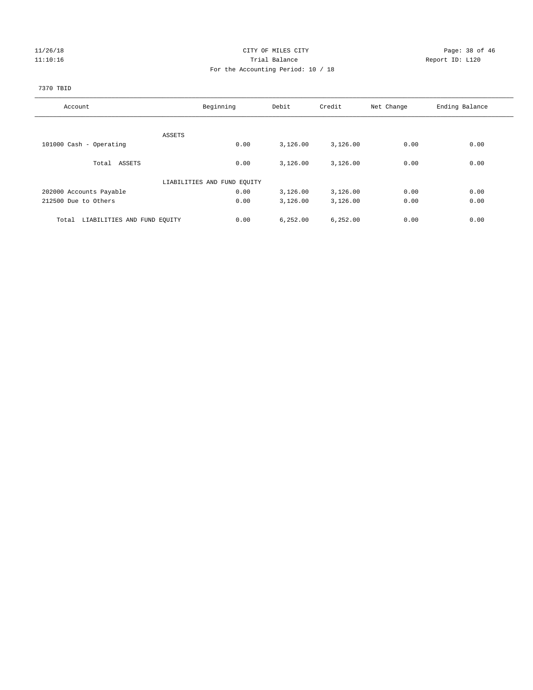## 11/26/18 Page: 38 of 46 11:10:16 Trial Balance Report ID: L120 For the Accounting Period: 10 / 18

# 7370 TBID

| Account                              | Beginning                   | Debit      | Credit   | Net Change | Ending Balance |
|--------------------------------------|-----------------------------|------------|----------|------------|----------------|
|                                      |                             |            |          |            |                |
|                                      | ASSETS                      |            |          |            |                |
| 101000 Cash - Operating              | 0.00                        | 3,126.00   | 3,126.00 | 0.00       | 0.00           |
| Total ASSETS                         | 0.00                        | 3,126.00   | 3,126.00 | 0.00       | 0.00           |
|                                      | LIABILITIES AND FUND EQUITY |            |          |            |                |
| 202000 Accounts Payable              | 0.00                        | 3,126.00   | 3,126.00 | 0.00       | 0.00           |
| 212500 Due to Others                 | 0.00                        | 3,126.00   | 3,126.00 | 0.00       | 0.00           |
| LIABILITIES AND FUND EQUITY<br>Total | 0.00                        | 6, 252, 00 | 6,252.00 | 0.00       | 0.00           |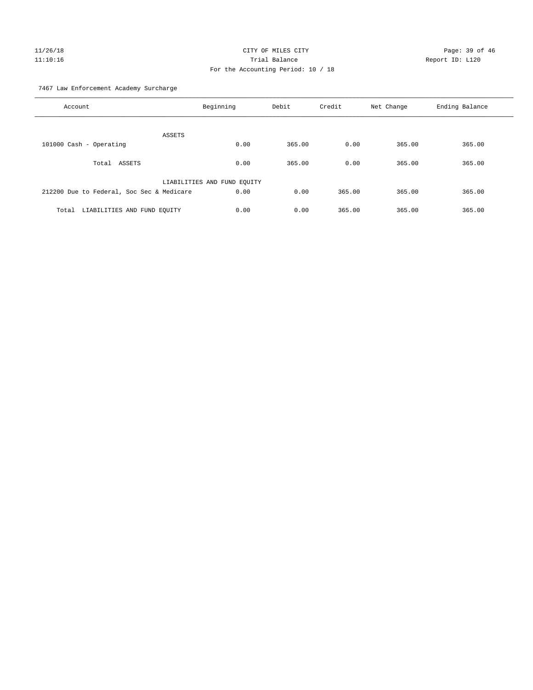# 11/26/18 Page: 39 of 46 11:10:16 Trial Balance Report ID: L120 For the Accounting Period: 10 / 18

7467 Law Enforcement Academy Surcharge

| Account                                   | Beginning                   | Debit  | Credit | Net Change | Ending Balance |
|-------------------------------------------|-----------------------------|--------|--------|------------|----------------|
| ASSETS                                    |                             |        |        |            |                |
| 101000 Cash - Operating                   | 0.00                        | 365.00 | 0.00   | 365.00     | 365.00         |
| ASSETS<br>Total                           | 0.00                        | 365.00 | 0.00   | 365.00     | 365.00         |
|                                           | LIABILITIES AND FUND EQUITY |        |        |            |                |
| 212200 Due to Federal, Soc Sec & Medicare | 0.00                        | 0.00   | 365.00 | 365.00     | 365.00         |
| LIABILITIES AND FUND EQUITY<br>Total      | 0.00                        | 0.00   | 365.00 | 365.00     | 365.00         |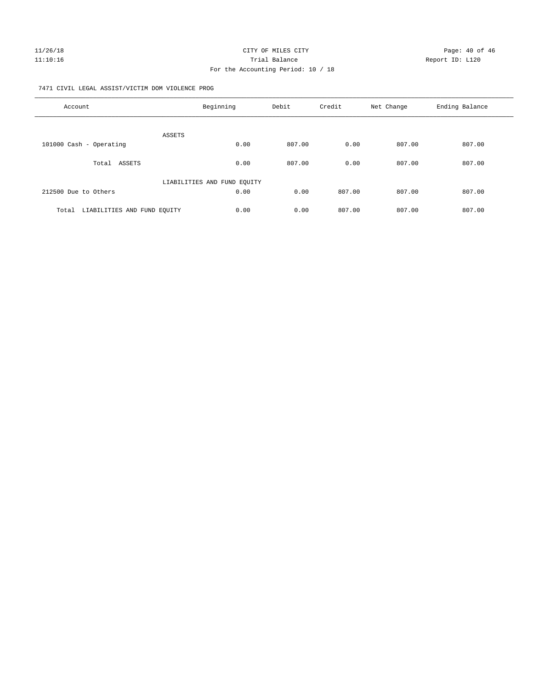7471 CIVIL LEGAL ASSIST/VICTIM DOM VIOLENCE PROG

| Account                              | Beginning                   | Debit  | Credit | Net Change | Ending Balance |
|--------------------------------------|-----------------------------|--------|--------|------------|----------------|
| <b>ASSETS</b>                        |                             |        |        |            |                |
| 101000 Cash - Operating              | 0.00                        | 807.00 | 0.00   | 807.00     | 807.00         |
| ASSETS<br>Total                      | 0.00                        | 807.00 | 0.00   | 807.00     | 807.00         |
|                                      | LIABILITIES AND FUND EQUITY |        |        |            |                |
| 212500 Due to Others                 | 0.00                        | 0.00   | 807.00 | 807.00     | 807.00         |
| LIABILITIES AND FUND EQUITY<br>Total | 0.00                        | 0.00   | 807.00 | 807.00     | 807.00         |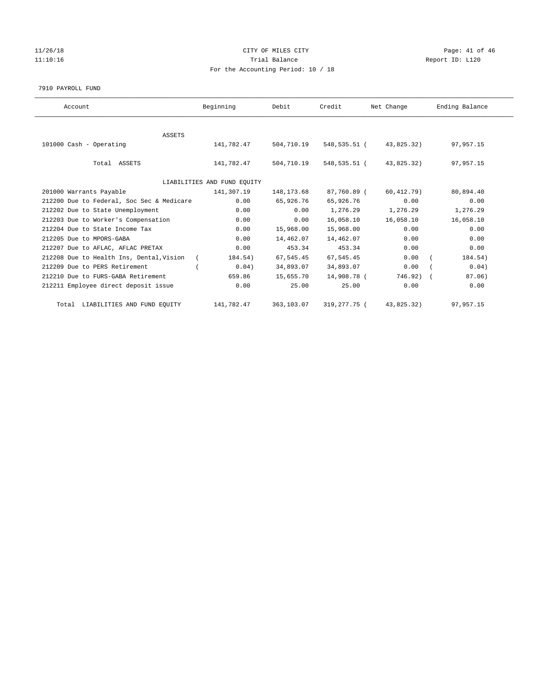## 11/26/18 Page: 41 of 46 11:10:16 Trial Balance Report ID: L120 For the Accounting Period: 10 / 18

#### 7910 PAYROLL FUND

| Account                                   | Beginning                   | Debit       | Credit       | Net Change | Ending Balance |
|-------------------------------------------|-----------------------------|-------------|--------------|------------|----------------|
|                                           |                             |             |              |            |                |
| ASSETS                                    |                             |             |              |            |                |
| 101000 Cash - Operating                   | 141,782.47                  | 504,710.19  | 548,535.51 ( | 43,825.32) | 97,957.15      |
|                                           |                             |             |              |            |                |
| Total ASSETS                              | 141,782.47                  | 504,710.19  | 548,535.51 ( | 43,825.32) | 97,957.15      |
|                                           |                             |             |              |            |                |
|                                           | LIABILITIES AND FUND EQUITY |             |              |            |                |
| 201000 Warrants Payable                   | 141,307.19                  | 148, 173.68 | 87,760.89 (  | 60,412.79) | 80,894.40      |
| 212200 Due to Federal, Soc Sec & Medicare | 0.00                        | 65,926.76   | 65,926.76    | 0.00       | 0.00           |
| 212202 Due to State Unemployment          | 0.00                        | 0.00        | 1,276.29     | 1,276.29   | 1,276.29       |
| 212203 Due to Worker's Compensation       | 0.00                        | 0.00        | 16,058.10    | 16,058.10  | 16,058.10      |
| 212204 Due to State Income Tax            | 0.00                        | 15,968.00   | 15,968.00    | 0.00       | 0.00           |
| 212205 Due to MPORS-GABA                  | 0.00                        | 14,462.07   | 14,462.07    | 0.00       | 0.00           |
| 212207 Due to AFLAC, AFLAC PRETAX         | 0.00                        | 453.34      | 453.34       | 0.00       | 0.00           |
| 212208 Due to Health Ins, Dental, Vision  | 184.54)<br>$\sqrt{2}$       | 67,545.45   | 67,545.45    | 0.00       | 184.54)        |
| 212209 Due to PERS Retirement             | 0.04)                       | 34,893.07   | 34,893.07    | 0.00       | 0.04)          |
| 212210 Due to FURS-GABA Retirement        | 659.86                      | 15,655.70   | 14,908.78 (  | 746.92)    | 87.06)         |
| 212211 Employee direct deposit issue      | 0.00                        | 25.00       | 25.00        | 0.00       | 0.00           |
| Total LIABILITIES AND FUND EQUITY         | 141,782.47                  | 363,103.07  | 319,277.75 ( | 43,825.32) | 97, 957, 15    |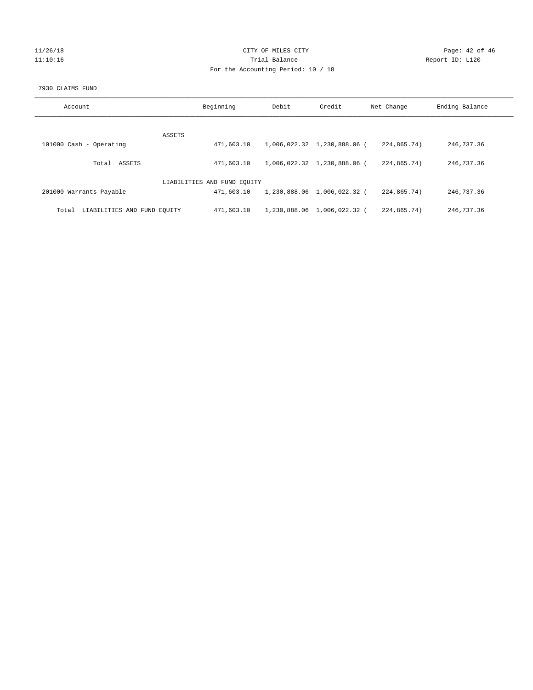## 11/26/18 Page: 42 of 46 11:10:16 Trial Balance Report ID: L120 For the Accounting Period: 10 / 18

#### 7930 CLAIMS FUND

| Account                              | Beginning                   | Debit | Credit                      | Net Change  | Ending Balance |
|--------------------------------------|-----------------------------|-------|-----------------------------|-------------|----------------|
| ASSETS                               |                             |       |                             |             |                |
| 101000 Cash - Operating              | 471,603.10                  |       | 1,006,022.32 1,230,888.06 ( | 224,865.74) | 246,737.36     |
| Total ASSETS                         | 471,603.10                  |       | 1,006,022.32 1,230,888.06 ( | 224,865,74) | 246,737.36     |
|                                      | LIABILITIES AND FUND EQUITY |       |                             |             |                |
| 201000 Warrants Payable              | 471,603.10                  |       | 1,230,888.06 1,006,022.32 ( | 224,865.74) | 246,737.36     |
| LIABILITIES AND FUND EQUITY<br>Total | 471,603.10                  |       | 1,230,888.06 1,006,022.32 ( | 224,865.74) | 246, 737, 36   |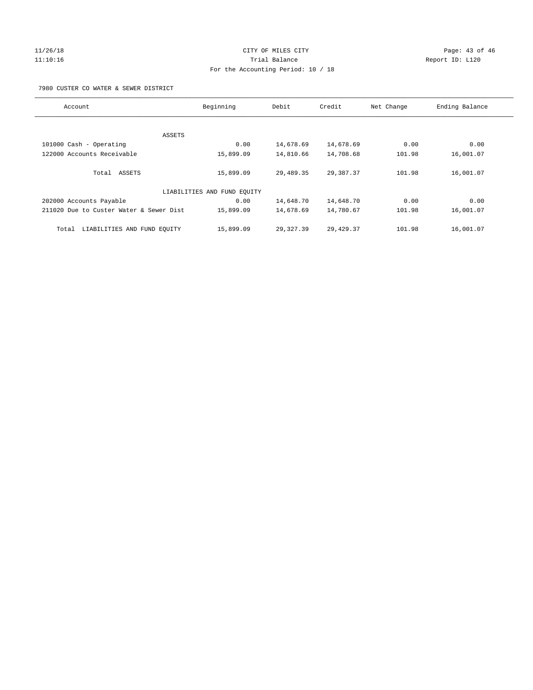## 11/26/18 Page: 43 of 46 11:10:16 Trial Balance Report ID: L120 For the Accounting Period: 10 / 18

7980 CUSTER CO WATER & SEWER DISTRICT

| Account                                 | Beginning                   | Debit     | Credit     | Net Change | Ending Balance |
|-----------------------------------------|-----------------------------|-----------|------------|------------|----------------|
|                                         |                             |           |            |            |                |
|                                         | ASSETS                      |           |            |            |                |
| 101000 Cash - Operating                 | 0.00                        | 14,678.69 | 14,678.69  | 0.00       | 0.00           |
| 122000 Accounts Receivable              | 15,899.09                   | 14,810.66 | 14,708.68  | 101.98     | 16,001.07      |
| Total ASSETS                            | 15,899.09                   | 29,489.35 | 29,387.37  | 101.98     | 16,001.07      |
|                                         | LIABILITIES AND FUND EQUITY |           |            |            |                |
| 202000 Accounts Payable                 | 0.00                        | 14,648.70 | 14,648.70  | 0.00       | 0.00           |
| 211020 Due to Custer Water & Sewer Dist | 15,899.09                   | 14,678.69 | 14,780.67  | 101.98     | 16,001.07      |
| LIABILITIES AND FUND EQUITY<br>Total    | 15,899.09                   | 29,327.39 | 29, 429.37 | 101.98     | 16,001.07      |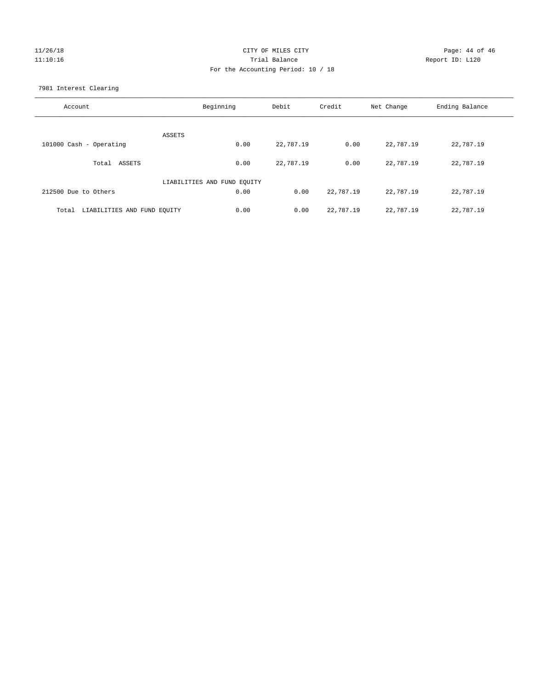## 11/26/18 Page: 44 of 46 11:10:16 Trial Balance Report ID: L120 For the Accounting Period: 10 / 18

7981 Interest Clearing

| Account                              | Beginning                   | Debit     | Credit    | Net Change | Ending Balance |
|--------------------------------------|-----------------------------|-----------|-----------|------------|----------------|
|                                      | <b>ASSETS</b>               |           |           |            |                |
| 101000 Cash - Operating              | 0.00                        | 22,787.19 | 0.00      | 22,787.19  | 22,787.19      |
| Total ASSETS                         | 0.00                        | 22,787.19 | 0.00      | 22,787.19  | 22,787.19      |
|                                      | LIABILITIES AND FUND EQUITY |           |           |            |                |
| 212500 Due to Others                 | 0.00                        | 0.00      | 22,787.19 | 22,787.19  | 22,787.19      |
| LIABILITIES AND FUND EQUITY<br>Total | 0.00                        | 0.00      | 22,787.19 | 22,787.19  | 22,787.19      |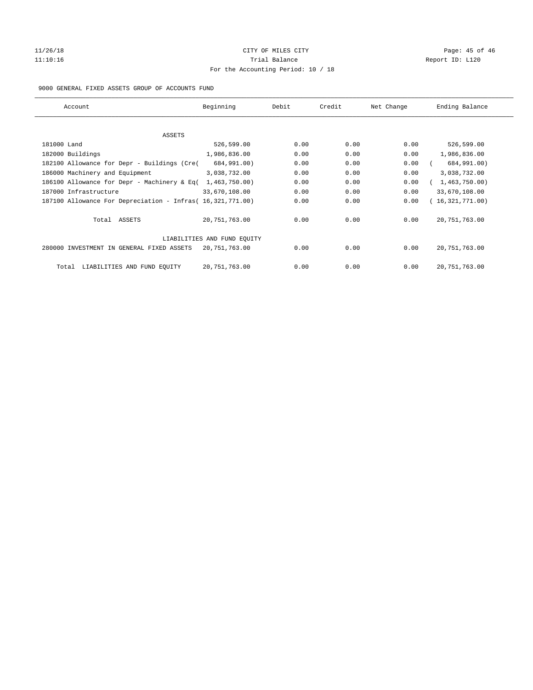## 11/26/18 Page: 45 of 46 11:10:16 Trial Balance Report ID: L120 For the Accounting Period: 10 / 18

## 9000 GENERAL FIXED ASSETS GROUP OF ACCOUNTS FUND

| Account                                                    | Beginning                   | Debit | Credit | Net Change | Ending Balance  |
|------------------------------------------------------------|-----------------------------|-------|--------|------------|-----------------|
| ASSETS                                                     |                             |       |        |            |                 |
| 181000 Land                                                | 526,599.00                  | 0.00  | 0.00   | 0.00       | 526,599.00      |
| 182000 Buildings                                           | 1,986,836.00                | 0.00  | 0.00   | 0.00       | 1,986,836.00    |
| 182100 Allowance for Depr - Buildings (Cre(                | 684,991.00)                 | 0.00  | 0.00   | 0.00       | 684,991.00)     |
| 186000 Machinery and Equipment                             | 3,038,732.00                | 0.00  | 0.00   | 0.00       | 3,038,732.00    |
| 186100 Allowance for Depr - Machinery & Eq(                | 1,463,750.00                | 0.00  | 0.00   | 0.00       | 1,463,750.00    |
| 187000 Infrastructure                                      | 33,670,108.00               | 0.00  | 0.00   | 0.00       | 33,670,108.00   |
| 187100 Allowance For Depreciation - Infras( 16,321,771.00) |                             | 0.00  | 0.00   | 0.00       | 16,321,771.00)  |
| Total ASSETS                                               | 20, 751, 763.00             | 0.00  | 0.00   | 0.00       | 20, 751, 763.00 |
|                                                            | LIABILITIES AND FUND EQUITY |       |        |            |                 |
| 280000 INVESTMENT IN GENERAL FIXED ASSETS                  | 20, 751, 763.00             | 0.00  | 0.00   | 0.00       | 20, 751, 763.00 |
| LIABILITIES AND FUND EQUITY<br>Total                       | 20, 751, 763.00             | 0.00  | 0.00   | 0.00       | 20, 751, 763.00 |